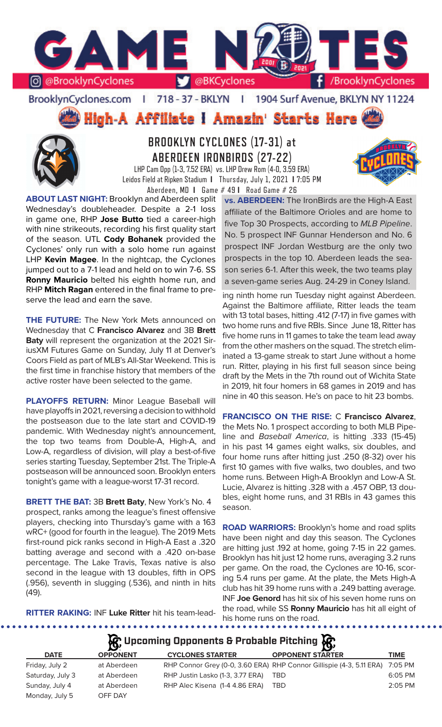

## BrooklynCyclones.com | 718 - 37 - BKLYN | 1904 Surf Avenue, BKLYN NY 11224

**High-A Affiliate I Amazin' Starts Here** 



# **BROOKLYN CYCLONES (17-31) at ABERDEEN IRONBIRDS (27-22)**

LHP Cam Opp (1-3, 7.52 ERA) vs. LHP Drew Rom (4-0, 3.59 ERA) Leidos Field at Ripken Stadium **I** Thursday, July 1, 2021 **I** 7:05 PM Aberdeen, MD **I** Game # 49 **I** Road Game # 26

**ABOUT LAST NIGHT:** Brooklyn and Aberdeen split Wednesday's doubleheader. Despite a 2-1 loss in game one, RHP **Jose Butto** tied a career-high with nine strikeouts, recording his first quality start of the season. UTL **Cody Bohanek** provided the Cyclones' only run with a solo home run against LHP **Kevin Magee**. In the nightcap, the Cyclones jumped out to a 7-1 lead and held on to win 7-6. SS **Ronny Mauricio** belted his eighth home run, and RHP **Mitch Ragan** entered in the final frame to preserve the lead and earn the save.

**THE FUTURE:** The New York Mets announced on Wednesday that C **Francisco Alvarez** and 3B **Brett Baty** will represent the organization at the 2021 SiriusXM Futures Game on Sunday, July 11 at Denver's Coors Field as part of MLB's All-Star Weekend. This is the first time in franchise history that members of the active roster have been selected to the game.

**PLAYOFFS RETURN:** Minor League Baseball will have playoffs in 2021, reversing a decision to withhold the postseason due to the late start and COVID-19 pandemic. With Wednesday night's announcement, the top two teams from Double-A, High-A, and Low-A, regardless of division, will play a best-of-five series starting Tuesday, September 21st. The Triple-A postseason will be announced soon. Brooklyn enters tonight's game with a league-worst 17-31 record.

**BRETT THE BAT:** 3B **Brett Baty**, New York's No. 4 prospect, ranks among the league's finest offensive players, checking into Thursday's game with a 163 wRC+ (good for fourth in the league). The 2019 Mets first-round pick ranks second in High-A East a .320 batting average and second with a .420 on-base percentage. The Lake Travis, Texas native is also second in the league with 13 doubles, fifth in OPS (.956), seventh in slugging (.536), and ninth in hits (49).

**vs. ABERDEEN:** The IronBirds are the High-A East affiliate of the Baltimore Orioles and are home to five Top 30 Prospects, according to *MLB Pipeline*. No. 5 prospect INF Gunnar Henderson and No. 6 prospect INF Jordan Westburg are the only two prospects in the top 10. Aberdeen leads the season series 6-1. After this week, the two teams play a seven-game series Aug. 24-29 in Coney Island.

ing ninth home run Tuesday night against Aberdeen. Against the Baltimore affiliate, Ritter leads the team with 13 total bases, hitting .412 (7-17) in five games with two home runs and five RBIs. Since June 18, Ritter has five home runs in 11 games to take the team lead away from the other mashers on the squad. The stretch eliminated a 13-game streak to start June without a home run. Ritter, playing in his first full season since being draft by the Mets in the 7th round out of Wichita State in 2019, hit four homers in 68 games in 2019 and has nine in 40 this season. He's on pace to hit 23 bombs.

**FRANCISCO ON THE RISE:** C **Francisco Alvarez**, the Mets No. 1 prospect according to both MLB Pipeline and *Baseball America*, is hitting .333 (15-45) in his past 14 games eight walks, six doubles, and four home runs after hitting just .250 (8-32) over his first 10 games with five walks, two doubles, and two home runs. Between High-A Brooklyn and Low-A St. Lucie, Alvarez is hitting .328 with a .457 OBP, 13 doubles, eight home runs, and 31 RBIs in 43 games this season.

**ROAD WARRIORS:** Brooklyn's home and road splits have been night and day this season. The Cyclones are hitting just .192 at home, going 7-15 in 22 games. Brooklyn has hit just 12 home runs, averaging 3.2 runs per game. On the road, the Cyclones are 10-16, scoring 5.4 runs per game. At the plate, the Mets High-A club has hit 39 home runs with a .249 batting average. INF **Joe Genord** has hit six of his seven home runs on the road, while SS **Ronny Mauricio** has hit all eight of his home runs on the road.

. . . . . . . . . . . . . . . . . .

**RITTER RAKING:** INF **Luke Ritter** hit his team-lead-

. . . . . . . . . . . . . . . . .

**Upcoming Opponents & Probable Pitching**

| <b>DATE</b>      | <b>OPPONENT</b> | <b>CYCLONES STARTER</b>          | <b>OPPONENT STARTER</b>                                                      | TIME      |
|------------------|-----------------|----------------------------------|------------------------------------------------------------------------------|-----------|
| Friday, July 2   | at Aberdeen     |                                  | RHP Connor Grey (0-0, 3.60 ERA) RHP Connor Gillispie (4-3, 5.11 ERA) 7:05 PM |           |
| Saturday, July 3 | at Aberdeen     | RHP Justin Lasko (1-3, 3.77 ERA) | TBD                                                                          | 6:05 PM   |
| Sunday, July 4   | at Aberdeen     | RHP Alec Kisena (1-4 4.86 ERA)   | TBD                                                                          | $2:05$ PM |
| Monday, July 5   | OFF DAY         |                                  |                                                                              |           |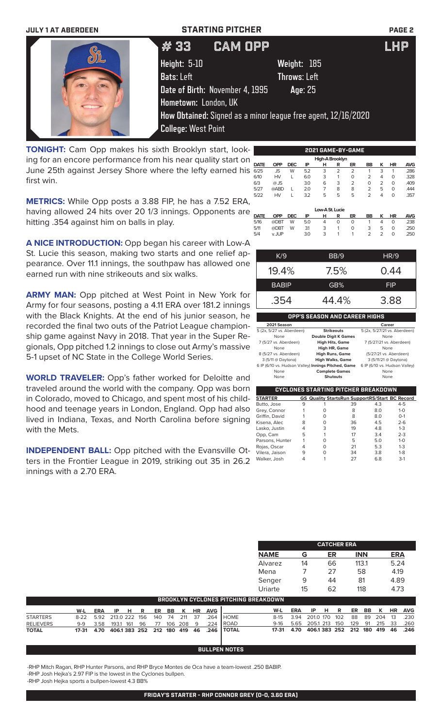| <b>JULY 1 AT ABERDEEN</b> | <b>STARTING PITCHER</b>         |                                                               | <b>PAGE 2</b> |
|---------------------------|---------------------------------|---------------------------------------------------------------|---------------|
|                           | #33                             | <b>CAM OPP</b>                                                | <b>LHP</b>    |
|                           | Height: 5-10                    | Weight: 185                                                   |               |
|                           | <b>Bats:</b> Left               | Throws: Left                                                  |               |
|                           | Date of Birth: November 4, 1995 | Age: 25                                                       |               |
|                           | Hometown: London, UK            |                                                               |               |
|                           |                                 | How Obtained: Signed as a minor league free agent, 12/16/2020 |               |
|                           | <b>College: West Point</b>      |                                                               |               |

**TONIGHT:** Cam Opp makes his sixth Brooklyn start, looking for an encore performance from his near quality start on June 25th against Jersey Shore where the lefty earned his first win.

**METRICS:** While Opp posts a 3.88 FIP, he has a 7.52 ERA, having allowed 24 hits over 20 1/3 innings. Opponents are hitting .354 against him on balls in play.

**A NICE INTRODUCTION:** Opp began his career with Low-A St. Lucie this season, making two starts and one relief appearance. Over 11.1 innings, the southpaw has allowed one earned run with nine strikeouts and six walks.

**ARMY MAN:** Opp pitched at West Point in New York for Army for four seasons, posting a 4.11 ERA over 181.2 innings with the Black Knights. At the end of his junior season, he recorded the final two outs of the Patriot League championship game against Navy in 2018. That year in the Super Regionals, Opp pitched 1.2 innings to close out Army's massive 5-1 upset of NC State in the College World Series.

**WORLD TRAVELER:** Opp's father worked for Deloitte and traveled around the world with the company. Opp was born in Colorado, moved to Chicago, and spent most of his childhood and teenage years in London, England. Opp had also lived in Indiana, Texas, and North Carolina before signing with the Mets.

**INDEPENDENT BALL:** Opp pitched with the Evansville Otters in the Frontier League in 2019, striking out 35 in 26.2 innings with a 2.70 ERA.

| 'n, |             |            |            |     |                 |                | 2021 GAME-BY-GAME |                |                |           |            |
|-----|-------------|------------|------------|-----|-----------------|----------------|-------------------|----------------|----------------|-----------|------------|
|     |             |            |            |     | High-A Brooklyn |                |                   |                |                |           |            |
|     | <b>DATE</b> | <b>OPP</b> | <b>DEC</b> | IP  | н               | R              | ER                | <b>BB</b>      | ĸ              | <b>HR</b> | <b>AVG</b> |
| S   | 6/25        | <b>JS</b>  | W          | 5.2 | 3               | $\overline{2}$ | $\overline{2}$    |                | 3              |           | .286       |
|     | 6/10        | <b>HV</b>  |            | 6.0 | 3               | 1              | O                 | $\overline{2}$ | 4              | O         | .328       |
|     | 6/3         | $@$ JS     |            | 3.0 | 6               | 3              | $\overline{2}$    | $\Omega$       | $\overline{2}$ | $\Omega$  | .409       |
|     | 5/27        | @ABD       |            | 2.0 | 7               | 8              | 8                 | 2              | 5              | $\Omega$  | .444       |
|     | 5/22        | <b>HV</b>  |            | 3.2 | 5               | 5              | 5                 | 2              | 4              | O         | .357       |
| ۱,  |             |            |            |     |                 |                |                   |                |                |           |            |
| Э   |             |            |            |     | Low-A St. Lucie |                |                   |                |                |           |            |
|     | <b>DATE</b> | <b>OPP</b> | <b>DEC</b> | IP  | н               | R              | ER                | <b>BB</b>      | ĸ              | <b>HR</b> | <b>AVG</b> |
|     | 5/16        | @DBT       | W          | 5.0 | 4               | $\Omega$       | 0                 |                | 4              | 0         | .238       |

5/11 @DBT W 3.1 3 1 0 3 5 0 .250 5/4 v. JUP 3.0 3 1 1 2 2 0 .250

| K/9          | BB/9  | HR/9       |
|--------------|-------|------------|
| 19.4%        | 7.5%  | 0.44       |
| <b>BABIP</b> | GB%   | <b>FIP</b> |
| .354         | 44.4% | 3.88       |

### **OPP'S SEASON AND CAREER HIGHS 2021 Season**<br> **2021 Season**<br> **2021 Season Strikeouts** 5 (2x, 5/27/21 vs. Aberdeen) 5 (2x, 5/27 vs. Aberdeen) **Strikeouts** 5 (2x, 5/27/21<br>None **Double Digit K Games** No **Double Digit K** Game 7 (5/27 vs. Aberdeen) **High Hits, Game** 7 (5/27/21 vs. Aberdeen) None **High HR, Game**<br>8 (5/27 vs. Aberdeen) **High Runs, Game** 8 (5/27 vs. Aberdeen) **High Runs, Game** (5/27/21 vs. Aberdeen) **High Walks, Game** 3 (5/11/21 @ Daytona)<br> **nings Pitched, Game** 6 IP (6/10 vs. Hudson Valley) 6 IP (6/10 vs. Hudson Valley) **Innings Pitched, Game** 6 IP (6/10 vs. Hudson Valley) **None Complete Games None None Shutouts None**

**Shutouts** 

### **CYCLONES STARTING PITCHER BREAKDOWN STARTER GS Quality StartsRun SupportRS/Start BC Record** Butto, Jose Grey, Connor 1 0 8 8.0 1-0<br>Griffin David 1 0 8 8.0 0-1 Griffin, David Kisena, Alec 8 0 36 4.5 2-6 Lasko, Justin Opp, Cam 5 1 17 3.4 2-3<br>Parsons, Hunter 1 0 5 5.0 1-0 arsons, Hunter Rojas, Oscar 4 0 21 5.3 1-3 Vilera, Jaison 9 0 34<br>Walker Josh 4 1 27 Walker, Josh 4 1 27 6.8 3-1

| <b>CATCHER ERA</b> |    |    |            |      |  |  |  |  |
|--------------------|----|----|------------|------|--|--|--|--|
| <b>NAME</b>        | G  | ER | <b>INN</b> | ERA  |  |  |  |  |
| Alvarez            | 14 | 66 | 113.1      | 5.24 |  |  |  |  |
| Mena               |    | 27 | 58         | 4.19 |  |  |  |  |
| Senger             | 9  | 44 | 81         | 4.89 |  |  |  |  |
| Uriarte            | 15 | 62 | 118        | 4.73 |  |  |  |  |

| BROOKLYN CYCLONES PITCHING BREAKDOWN. |                                       |                               |  |  |  |  |  |  |  |     |                                                   |                                              |                                           |                       |  |  |  |                    |
|---------------------------------------|---------------------------------------|-------------------------------|--|--|--|--|--|--|--|-----|---------------------------------------------------|----------------------------------------------|-------------------------------------------|-----------------------|--|--|--|--------------------|
|                                       |                                       | W-L ERA IP H R ER BB K HR AVG |  |  |  |  |  |  |  |     |                                                   | W-L                                          | ERA                                       | IP H R ER BB K HR AVG |  |  |  |                    |
| <b>STARTERS</b>                       | 8-22 5.92 213.0 222 156 140 74 211 37 |                               |  |  |  |  |  |  |  | 264 | <b>I</b> HOME                                     |                                              | 8-15 3.94 201.0 170 102 88 89 204 13 .230 |                       |  |  |  |                    |
| <b>RELIEVERS</b>                      |                                       |                               |  |  |  |  |  |  |  |     | 9-9 3.58 193.1 161 96 77 106 208 9 .224 ROAD      |                                              | 9-16 5.65 205.1 213 150                   |                       |  |  |  | 129 91 215 33 .260 |
| <b>TOTAL</b>                          |                                       |                               |  |  |  |  |  |  |  |     | 17-31 4.70 406.1383 252 212 180 419 46 .246 TOTAL | 17-31 4.70 406.1 383 252 212 180 419 46 .246 |                                           |                       |  |  |  |                    |

## **BULLPEN NOTES**

-RHP Mitch Ragan, RHP Hunter Parsons, and RHP Bryce Montes de Oca have a team-lowest .250 BABIP.

-RHP Josh Hejka's 2.97 FIP is the lowest in the Cyclones bullpen.

-RHP Josh Hejka sports a bullpen-lowest 4.3 BB%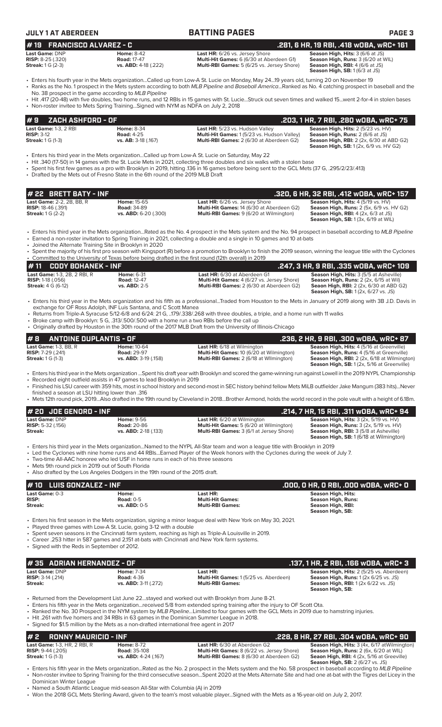| JULY 1 AT ABERDEEN                 |                    | <b>BATTING PAGES</b>                            | <b>PAGE 3</b>                             |
|------------------------------------|--------------------|-------------------------------------------------|-------------------------------------------|
| $\#$ 19 $\;$ FRANCISCO ALVAREZ - C |                    |                                                 | .281, 6 HR, 19 RBI, .418 wOBA, wRC+ 161   |
| Last Game: DNP                     | <b>Home: 8-42</b>  | <b>Last HR:</b> 6/26 vs. Jersey Shore           | <b>Season High, Hits: 3 (6/6 at JS)</b>   |
| <b>RISP: 8-25 (.320)</b>           | <b>Road: 17-47</b> | <b>Multi-Hit Games:</b> 6 (6/30 at Aberdeen G1) | <b>Season High, Runs: 3 (6/20 at WIL)</b> |

**RISP:** 8-25 (.320) **Road:** 17-47 **Multi-Hit Games:** 6 (6/30 at Aberdeen G1) **Season High, Runs:** 3 (6/20 at WIL)

**Season High, RBI:** 4 (6/6 at JS)<br>**Season High, SB:** 1 (6/3 at JS) **# 19 FRANCISCO ALVAREZ - C .281, 6 HR, 19 RBI, .418 wOBA, wRC+ 161**

• Enters his fourth year in the Mets organization...Called up from Low-A St. Lucie on Monday, May 24...19 years old, turning 20 on November 19 • Ranks as the No. 1 prospect in the Mets system according to both *MLB Pipeline* and *Baseball America*...Ranked as No. 4 catching prospect in baseball and the

No. 38 prospect in the game according to *MLB Pipeline* • Hit .417 (20-48) with five doubles, two home runs, and 12 RBIs in 15 games with St. Lucie...Struck out seven times and walked 15...went 2-for-4 in stolen bases

• Non-roster invitee to Mets Spring Training...Signed with NYM as NDFA on July 2, 2018

| <b>#9</b><br>ZACH ASHFORD - OF '                                                    |                                                               |                                                                                                                                   | . 203, 1 HR, 7 RBI, .280 w0BA, wRC+ 75'                                                                                          |
|-------------------------------------------------------------------------------------|---------------------------------------------------------------|-----------------------------------------------------------------------------------------------------------------------------------|----------------------------------------------------------------------------------------------------------------------------------|
| <b>Last Game: 1-3, 2 RBI</b><br>$RISP: 3-12$<br><b>Streak:</b> $1 \text{ G } (1-3)$ | <b>Home: 8-34</b><br><b>Road: 4-25</b><br>vs. AB: 3-18 (.167) | Last HR: 5/23 vs. Hudson Valley<br>Multi-Hit Games: 1 (5/23 vs. Hudson Valley)<br><b>Multi-RBI Games: 2 (6/30 at Aberdeen G2)</b> | Season High, Hits: 2 (5/23 vs. HV)<br><b>Season High, Runs: 2 (6/6 at JS)</b><br><b>Season High, RBI:</b> 2 (2x, 6/30 at ABD G2) |
|                                                                                     |                                                               |                                                                                                                                   | <b>Season High, SB:</b> 1(2x, 6/9 vs. HV G2)                                                                                     |

**Multi-RBI Games:** 5 (6/25 vs. Jersey Shore)

• Enters his third year in the Mets organization...Called up from Low-A St. Lucie on Saturday, May 22

- Hit .340 (17-50) in 14 games with the St. Lucie Mets in 2021, collecting three doubles and six walks with a stolen base
- Spent his first few games as a pro with Brooklyn in 2019, hitting .136 in 16 games before being sent to the GCL Mets (37 G, .295/2/23/.413)
- Drafted by the Mets out of Fresno State in the 6th round of the 2019 MLB Draft

| # 22 BRETT BATY - INF                                                                     |                                                                      |                                                                                                                                             | .320. 6 HR. 32 RBI. .412 WOBA. WRC+ 157                                                                                                                                                           |
|-------------------------------------------------------------------------------------------|----------------------------------------------------------------------|---------------------------------------------------------------------------------------------------------------------------------------------|---------------------------------------------------------------------------------------------------------------------------------------------------------------------------------------------------|
| <b>Last Game: 2-2, 2B, BB, R</b><br><b>RISP:</b> 18-46 (.391)<br><b>Streak:</b> 1 G (2-2) | <b>Home: 15-65</b><br><b>Road: 34-89</b><br>$vs.$ ABD: $6-20$ (.300) | <b>Last HR:</b> 6/26 vs. Jersey Shore<br><b>Multi-Hit Games: 14 (6/30 at Aberdeen G2)</b><br><b>Multi-RBI Games: 9 (6/20 at Wilmington)</b> | <b>Season High, Hits: 4 (5/19 vs. HV)</b><br><b>Season High, Runs:</b> 2 (5x, 6/9 vs. HV G2)<br><b>Season High, RBI:</b> $4$ ( $2x$ , $6/3$ at JS)<br><b>Season High, SB:</b> 1 (3x, 6/19 at WIL) |

• Enters his third year in the Mets organization...Rated as the No. 4 prospect in the Mets system and the No. 94 prospect in baseball according to *MLB Pipeline* • Earned a non-roster invitation to Spring Training in 2021, collecting a double and a single in 10 games and 10 at-bats

- Joined the Alternate Training Site in Brooklyn in 2020
- Spent the majority of his first pro season with Kingsport (R) before a promotion to Brooklyn to finish the 2019 season, winning the league title with the Cyclones • Committed to the University of Texas before being drafted in the first round (12th overall) in 2019

| $\#$ 11 $\;$ CODY BOHANEK - INF     |                     |                                                   | .247, 3 HR, 9 RBI, .335 wOBA, wRC+ 109                                                       |
|-------------------------------------|---------------------|---------------------------------------------------|----------------------------------------------------------------------------------------------|
| <b>Last Game:</b> 1-3, 2B, 2 RBI, R | <b>Home: 6-31</b>   | <b>Last HR:</b> 6/30 at Aberdeen G1               | <b>Season High, Hits: 3 (5/5 at Asheville)</b>                                               |
| <b>RISP:</b> 1-18 $(.056)$          | <b>Road: 12-47</b>  | <b>Multi-Hit Games: 4 (6/27 vs. Jersey Shore)</b> | <b>Season High, Runs:</b> 2 (2x, 6/15 at Wil)                                                |
| <b>Streak:</b> 4 G (6-12)           | <b>vs. ABD: 2-5</b> | <b>Multi-RBI Games: 2 (6/30 at Aberdeen G2)</b>   | <b>Seaon High, RBI:</b> 2 (2x, 6/30 at ABD G2)<br><b>Season High, SB:</b> 1(2x, 6/27 vs. JS) |

• Enters his third year in the Mets organization and his fifth as a professional...Traded from Houston to the Mets in January of 2019 along with 3B J.D. Davis in exchange for OF Ross Adolph, INF Luis Santana, and C Scott Manea

• Returns from Triple-A Syracuse 5/12-6/8 and 6/24: 21 G, ..179/.338/.268 with three doubles, a triple, and a home run with 11 walks

- Broke camp with Brooklyn: 5 G, .313/.500/.500 with a home run a two RBIs before the call up<br>• Originally drafted by Houston in the 30th round of the 2017 MLB Draft from the University of II
- Originally drafted by Houston in the 30th round of the 2017 MLB Draft from the University of Illinois-Chicago

| $\#$ 8 $\#$ antoine duplantis - of                                                   |                                                                  |                                                                                                                                         | .236. 2 HR. 9 RBI. .300 wOBA. wRC+ 87                                                                                                                                                                             |
|--------------------------------------------------------------------------------------|------------------------------------------------------------------|-----------------------------------------------------------------------------------------------------------------------------------------|-------------------------------------------------------------------------------------------------------------------------------------------------------------------------------------------------------------------|
| <b>Last Game:</b> 1-3. BB. R<br><b>RISP:</b> 7-29 (.241)<br><b>Streak:</b> 1 G (1-3) | <b>Home: 10-64</b><br><b>Road: 29-97</b><br>vs. ABD: 3-19 (.158) | <b>Last HR:</b> 6/18 at Wilmington<br><b>Multi-Hit Games: 10 (6/20 at Wilmington)</b><br><b>Multi-RBI Games:</b> 2 (6/18 at Wilmington) | <b>Season High, Hits: 4 (5/16 at Greenville)</b><br><b>Season High, Runs: 4 (5/16 at Greenville)</b><br><b>Season High, RBI:</b> 2 (2x, 6/18 at Wilmington)<br><b>Season High, SB:</b> 1 (2x, 5/16 at Greenville) |

- Enters his third year in the Mets organization ...Spent his draft year with Brooklyn and scored the game-winning run against Lowell in the 2019 NYPL Championship
- Recorded eight outfield assists in 47 games to lead Brooklyn in 2019
- Finished his LSU career with 359 hits, most in school history and second-most in SEC history behind fellow Mets MiLB outfielder Jake Mangum (383 hits)...Never finished a season at LSU hitting lower than .316
- Mets 12th round pick, 2019...Also drafted in the 19th round by Cleveland in 2018...Brother Armond, holds the world record in the pole vault with a height of 6.18m.

| $#$ 20 JOE GENORD - INF                                                          |                                                                                                                                 |                                                                                                                              | .214, 7 HR, 15 RBI, .311 WOBA, WRC+ 94                                                   |  |  |  |  |
|----------------------------------------------------------------------------------|---------------------------------------------------------------------------------------------------------------------------------|------------------------------------------------------------------------------------------------------------------------------|------------------------------------------------------------------------------------------|--|--|--|--|
| <b>Last Game: DNP</b>                                                            | <b>Home: 9-56</b>                                                                                                               | <b>Last HR:</b> 6/20 at Wilmington                                                                                           | <b>Season High, Hits: 3 (2x, 5/19 vs. HV)</b>                                            |  |  |  |  |
| <b>RISP:</b> 5-32 $(.156)$                                                       | <b>Road: 20-86</b>                                                                                                              | Multi-Hit Games: 5 (6/20 at Wilmington)                                                                                      | <b>Season High, Runs: 3 (2x, 5/19 vs. HV)</b>                                            |  |  |  |  |
| Streak:                                                                          | vs. ABD: 2-18 (.133)                                                                                                            | <b>Multi-RBI Games: 3 (6/1 at Jersey Shore)</b>                                                                              | <b>Season High, RBI: 3 (5/8 at Asheville)</b><br>Season High, SB: 1 (6/18 at Wilmington) |  |  |  |  |
|                                                                                  |                                                                                                                                 | • Enters his third year in the Mets organizationNamed to the NYPL All-Star team and won a league title with Brooklyn in 2019 |                                                                                          |  |  |  |  |
|                                                                                  | • Led the Cyclones with nine home runs and 44 RBIsEarned Player of the Week honors with the Cyclones during the week of July 7. |                                                                                                                              |                                                                                          |  |  |  |  |
| • Two-time All-AAC honoree who led USF in home runs in each of his three seasons |                                                                                                                                 |                                                                                                                              |                                                                                          |  |  |  |  |
| • Mets 9th round pick in 2019 out of South Florida                               |                                                                                                                                 |                                                                                                                              |                                                                                          |  |  |  |  |

• Also drafted by the Los Angeles Dodgers in the 19th round of the 2015 draft.

## **Last Game:** 0-3 **Home: Last HR: Season High, Hits: RISP: Road:** 0-5 **Multi-Hit Games: Season High, Runs: Streak: vs. ABD:** 0-5 **Multi-RBI Games: Season High, RBI: Season High, SB: # 10 LUIS GONZALEZ - INF .000, 0 HR, 0 RBI, .000 wOBA, wRC+ 0**

- Enters his first season in the Mets organization, signing a minor league deal with New York on May 30, 2021.
- Played three games with Low-A St. Lucie, going 3-12 with a double
- Spent seven seasons in the Cincinnati farm system, reaching as high as Triple-A Louisville in 2019.
- Career .253 hitter in 587 games and 2,151 at-bats with Cincinnati and New York farm systems.
- Signed with the Reds in September of 2012.

# **# 35 ADRIAN HERNANDEZ - OF .137, 1 HR, 2 RBI, .166 wOBA, wRC+ 3**

**Last Game:** DNP **Home:** 7-34 **Last HR: Season High, Hits:** 2 (5/25 vs. Aberdeen)

- Returned from the Development List June 22...stayed and worked out with Brooklyn from June 8-21.
- Enters his fifth year in the Mets organization...received 5/8 from extended spring training after the injury to OF Scott Ota.
- Ranked the No. 30 Prospect in the NYM system by *MLB Pipeline...*Limited to four games with the GCL Mets in 2019 due to hamstring injuries. • Hit .261 with five homers and 34 RBIs in 63 games in the Dominican Summer League in 2018.
- Signed for \$1.5 million by the Mets as a non-drafted international free agent in 2017

## **# 2 RONNY MAURICIO - INF .228, 8 HR, 27 RBI, .304 wOBA, wRC+ 90 Last HR:** 6/30 at Aberdeen G2 **Cames: 8 Aberdeen Games: 8 Aberdeen Games: 8 (6/22 vs. Jersey Shore) <b>Season High, Hits:** 3 (4x, 6/77 atWilmington) **Road:** 35-108 **Road:** 35-108 **Multi-Hit Games:** 8 (6/22 vs. Jersey Shore) **Cast Game: 1-3, HR, 2 RBI, R Home: 8-72 Risp: RISP: 9-44** (.205) **Risp: 2 RISP: 9-44** (.205) **Reason High, Hits: 3 (4x, 6/17 atWilmington Barry Risp: 3 (6/22 vs. Jersey Shore) <b>Season High, Runs: 2** (6x, 6/20 at WIL **Multi-RBI Games:** 8 (6/30 at Aberdeen G2) **Season High, SB:** 2 (6/27 vs. JS)

• Enters his fifth year in the Mets organization...Rated as the No. 2 prospect in the Mets system and the No. 58 prospect in baseball according to *MLB Pipeline* • Non-roster invitee to Spring Training for the third consecutive season...Spent 2020 at the Mets Alternate Site and had one at-bat with the Tigres del Licey in the Dominican Winter League

• Named a South Atlantic League mid-season All-Star with Columbia (A) in 2019

• Won the 2018 GCL Mets Sterling Award, given to the team's most valuable player...Signed with the Mets as a 16-year-old on July 2, 2017.

### **RISP:** 3-14 (.214) **Road:** 4-36 **Multi-Hit Games:** 1 (5/25 vs. Aberdeen) **Season High, Runs:** 1 (2x 6/25 vs. JS) External constitution of the constitution of the constitution of the constitution of the constitution of the constitution of the constitution of the constitution of the constitution of the constitution of the constitution **Season High, SB:**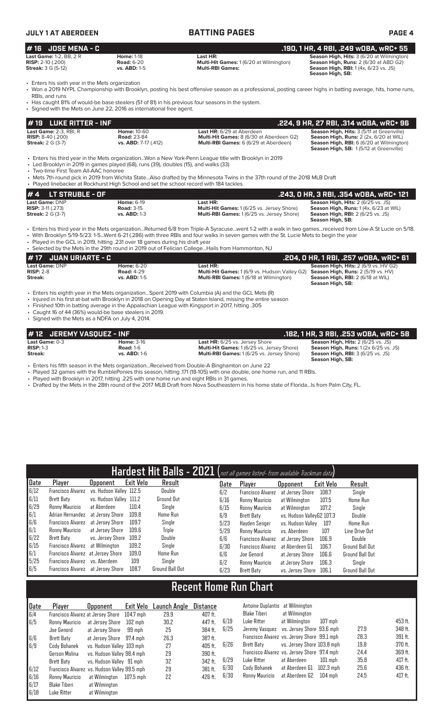| <b>JULY 1 AT ABERDEEN</b>                                                                                                                                                                                                                       |                                                                  | <b>BATTING PAGES</b>                                                                                                                                                                                                                                                                                                                                                                                    | <b>PAGE 4</b>                                                                                                                                                             |
|-------------------------------------------------------------------------------------------------------------------------------------------------------------------------------------------------------------------------------------------------|------------------------------------------------------------------|---------------------------------------------------------------------------------------------------------------------------------------------------------------------------------------------------------------------------------------------------------------------------------------------------------------------------------------------------------------------------------------------------------|---------------------------------------------------------------------------------------------------------------------------------------------------------------------------|
| <b>JOSE MENA - C</b><br>#16                                                                                                                                                                                                                     |                                                                  |                                                                                                                                                                                                                                                                                                                                                                                                         | .190, 1 HR, 4 RBI, .249 w0BA, wRC+ 55                                                                                                                                     |
| Last Game: 1-2, BB, 2 R<br>RISP: 2-10 (.200)<br><b>Streak:</b> 3 G (5-12)                                                                                                                                                                       | <b>Home: 1-18</b><br><b>Road: 6-20</b><br>vs. ABD: 1-5           | Last HR:<br>Multi-Hit Games: 1 (6/20 at Wilmington)<br><b>Multi-RBI Games:</b>                                                                                                                                                                                                                                                                                                                          | Season High, Hits: 3 (6/20 at Wilmington)<br>Season High, Runs: 2 (6/30 at ABD G2)<br>Season High, RBI: 1 (4x, 6/23 vs. JS)<br>Season High, SB:                           |
| • Enters his sixth year in the Mets organization<br>RBIs, and runs<br>• Has caught 81% of would-be base stealers (51 of 81) in his previous four seasons in the system.<br>• Signed with the Mets on June 22, 2016 as international free agent. |                                                                  | • Won a 2019 NYPL Championship with Brooklyn, posting his best offensive season as a professional, posting career highs in batting average, hits, home runs,                                                                                                                                                                                                                                            |                                                                                                                                                                           |
| <b>LUKE RITTER - INF</b><br>#19                                                                                                                                                                                                                 |                                                                  |                                                                                                                                                                                                                                                                                                                                                                                                         | .224, 9 HR, 27 RBI, .314 wOBA, wRC+ 96                                                                                                                                    |
| Last Game: 2-3, RBI, R<br>RISP: 8-40 (.200)<br><b>Streak: 2 G (3-7)</b>                                                                                                                                                                         | <b>Home: 10-60</b><br><b>Road: 23-84</b><br>vs. ABD: 7-17 (.412) | Last HR: 6/29 at Aberdeen<br>Multi-Hit Games: 8 (6/30 at Aberdeen G2)<br>Multi-RBI Games: 6 (6/29 at Aberdeen)                                                                                                                                                                                                                                                                                          | Season High, Hits: 3 (5/11 at Greenville)<br>Season High, Runs: 2 (2x, 6/20 at WIL)<br>Season High, RBI: 6 (6/20 at Wilmington)<br>Season High, SB: 1(5/12 at Greenville) |
| • Led Brooklyn in 2019 in games played (68), runs (39), doubles (15), and walks (33)<br>• Two-time First Team All-AAC honoree<br>• Played linebacker at Rockhurst High School and set the school record with 184 tackles.                       |                                                                  | • Enters his third year in the Mets organizationWon a New York-Penn League title with Brooklyn in 2019<br>• Mets 7th-round pick in 2019 from Wichita StateAlso drafted by the Minnesota Twins in the 37th round of the 2018 MLB Draft                                                                                                                                                                   |                                                                                                                                                                           |
| <b>LT STRUBLE - OF</b><br>#4                                                                                                                                                                                                                    |                                                                  |                                                                                                                                                                                                                                                                                                                                                                                                         | .243, 0 HR, 3 RBI, .354 wOBA, wRC+ 121                                                                                                                                    |
| Last Game: DNP<br>RISP: 3-11 (.273)<br><b>Streak: 2 G (3-7)</b>                                                                                                                                                                                 | <b>Home: 6-19</b><br><b>Road: 3-15</b><br><b>vs. ABD: 1-3</b>    | Last HR:<br>Multi-Hit Games: 1 (6/25 vs. Jersey Shore)<br>Multi-RBI Games: 1 (6/25 vs. Jersey Shore)                                                                                                                                                                                                                                                                                                    | Season High, Hits: 2 (6/25 vs. JS)<br>Season High, Runs: 1 (4x, 6/23 at WIL)<br>Season High, RBI: 2 (6/25 vs. JS)<br>Season High, SB:                                     |
| . Played in the GCL in 2019, hitting .231 over 18 games during his draft year                                                                                                                                                                   |                                                                  | • Enters his third year in the Mets organizationReturned 6/8 from Triple-A Syracusewent 1-2 with a walk in two gamesreceived from Low-A St Lucie on 5/18.<br>• With Brooklyn 5/19-5/23: 1-5Went 6-21 (.286) with three RBIs and four walks in seven games with the St. Lucie Mets to begin the year<br>• Selected by the Mets in the 29th round in 2019 out of Felician CollegeHails from Hammonton, NJ |                                                                                                                                                                           |
| <b>JUAN URIARTE - C</b><br>#17                                                                                                                                                                                                                  |                                                                  |                                                                                                                                                                                                                                                                                                                                                                                                         | .204, 0 HR, 1 RBI, .257 w0BA, wRC+ 61                                                                                                                                     |
| Last Game: DNP<br><b>RISP: 2-8</b><br>Streak:                                                                                                                                                                                                   | <b>Home: 6-20</b><br><b>Road: 4-29</b><br>vs. ABD: 1-5           | Last HR:<br>Multi-Hit Games: 1 (6/9 vs. Hudson Valley G2)<br>Multi-RBI Games: 1 (6/18 at Wilmington)                                                                                                                                                                                                                                                                                                    | Season High, Hits: 2 (6/9 vs. HV G2)<br>Season High, Runs: 2 (5/19 vs. HV)<br>Season High, RBI: 2 (6/18 at WIL)<br>Season High, SB:                                       |
| . Finished 10th in batting average in the Appalachian League with Kingsport in 2017, hitting .305                                                                                                                                               |                                                                  | • Enters his eighth year in the Mets organizationSpent 2019 with Columbia (A) and the GCL Mets (R)<br>• Injured in his first at-bat with Brooklyn in 2018 on Opening Day at Staten Island, missing the entire season                                                                                                                                                                                    |                                                                                                                                                                           |

- 
- Caught 16 of 44 (36%) would-be base stealers in 2019. • Signed with the Mets as a NDFA on July 4, 2014.

**# 12 JEREMY VASQUEZ - INF**<br> **28.1 HR, 3 RBI, .253 wOBA, wRC+ 58**<br> **182, 1 HR, 3 RBI, .253 wOBA, wRC+ 58**<br> **182, 1 HR, 3 RBI, .253 wOBA, wRC+ 58**<br> **182, 1 HR, 3 RBI, .253 wOBA, wRC+ 58**<br> **182, 1 HR, 3 RBI, .253 wOBA, wRC+ Last Game:** 0-3 **Home:** 3-16 **Last HR:** 6/25 vs. Jersey Shore **Season High, Hits:** 2 (6/25 vs. JS) **RISP:** 1-3 **Road:** 1-6 **Multi-Hit Games:** 1 (6/25 vs. Jersey Shore) **Season High, Runs:** 1 (2x 6/25 vs. JS) **Streak: vs. ABD:** 1-6 **Multi-RBI Games:** 1 (6/25 vs. Jersey Shore) **Season High, SB:** 

• Enters his fifth season in the Mets organization...Received from Double-A Binghamton on June 22

• Played 32 games with the RumblePonies this season, hitting .171 (18-105) with one double, one home run, and 11 RBIs.

• Played with Brooklyn in 2017, hitting .225 with one home run and eight RBIs in 31 games.

• Drafted by the Mets in the 28th round of the 2017 MLB Draft from Nova Southeastern in his home state of Florida...Is from Palm City, FL.

|      |                                   |                         |                  | Hardest Hit Balls - 2021 (not all games listed- from available Trackman data) |      |                          |                           |           |                        |
|------|-----------------------------------|-------------------------|------------------|-------------------------------------------------------------------------------|------|--------------------------|---------------------------|-----------|------------------------|
| Date | Player                            | <b>Opponent</b>         | <b>Exit Velo</b> | Result                                                                        | Date | Player                   | <b>Opponent</b>           | Exit Velo | Result                 |
| 6/12 | Francisco Alvarez                 | vs. Hudson Valley 112.5 |                  | Double                                                                        | 6/2  | <b>Francisco Alvarez</b> | at Jersev Shore           | 108.7     | Single                 |
| 6/11 | Brett Baty                        | vs. Hudson Valley 111.2 |                  | Ground Out                                                                    | 6/16 | Ronny Mauricio           | at Wilmington             | 107.5     | Home Run               |
| 6/29 | Ronny Mauricio                    | at Aberdeen             | 110.4            | Single                                                                        | 6/15 | Ronny Mauricio           | at Wilmington             | 107.2     | Single                 |
| 6/1  | Adrian Hernandez                  | at Jersev Shore         | 109.8            | <b>Home Run</b>                                                               | 6/9  | Brett Baty               | vs. Hudson VallevG2 107.3 |           | Double                 |
| 6/6  | Francisco Alvarez                 | at Jersev Shore         | 109.7            | Single                                                                        | 5/23 | Havden Senger            | vs. Hudson Valley         | 107       | <b>Home Run</b>        |
| 6/1  | Ronny Mauricio                    | at Jersey Shore         | 109.6            | Triple                                                                        | 5/29 | Ronny Mauricio           | vs. Aberdeen              | 107       | Line Drive Out         |
| 6/22 | Brett Baty                        | vs. Jersey Shore        | 109.2            | Double                                                                        | 6/6  | <b>Francisco Alvarez</b> | at Jersey Shore           | 106.9     | Double                 |
| 6/15 | Francisco Alvarez                 | at Wilmington           | 109.2            | Single                                                                        | 6/30 | <b>Francisco Alvarez</b> | at Aberdeen G1            | 106.7     | <b>Ground Ball Out</b> |
| 6/1  | Francisco Alvarez at Jersey Shore |                         | 109.0            | <b>Home Run</b>                                                               | 6/6  | Joe Genord               | at Jersey Shore           | 106.6     | <b>Ground Ball Out</b> |
| 5/25 | Francisco Alvarez vs. Aberdeen    |                         | 109              | Single                                                                        | 6/2  | Ronny Mauricio           | at Jersey Shore           | 106.3     | Single                 |
| 6/5  | Francisco Alvarez at Jersey Shore |                         | 108.7            | Ground Ball Out                                                               | 6/23 | Brett Baty               | vs. Jersey Shore          | 106.1     | <b>Ground Ball Out</b> |

# **Recent Home Run Chart**

| <b>Date</b> | Plaver                                       | <b>Opponent</b>            | Exit Velo   | Launch Angle | <b>Distance</b> |      | Antoine Duplantis at Wilmington             |                            |           |      |         |
|-------------|----------------------------------------------|----------------------------|-------------|--------------|-----------------|------|---------------------------------------------|----------------------------|-----------|------|---------|
| 6/4         | Francisco Alvarez at Jersey Shore            |                            | 104.7 mph   | 29.9         | 407 ft.         |      | Blake Tiberi                                | at Wilmington              |           |      |         |
| 6/5         | Ronny Mauricio                               | at Jersey Shore            | 102 mph     | 30.2         | 447 ft.         | 6/19 | Luke Ritter                                 | at Wilmington              | $107$ mph |      | 453 ft. |
|             | Joe Genord                                   | at Jersev Shore            | 99 mph      | 25           | 384 ft.         | 6/25 | Jeremy Vasquez vs. Jersey Shore 93.6 mph    |                            |           | 27.9 | 348 ft. |
| 6/6         | Brett Baty                                   | at Jersey Shore 97.4 mph   |             | 26.3         | 387 ft.         |      | Francisco Alvarez vs. Jersey Shore 99.1 mph |                            |           | 28.3 | 391 ft. |
| 6/9         | Cody Bohanek                                 | vs. Hudson Valley 103 mph  |             | 27           | 405 ft.         | 6/26 | Brett Baty                                  | vs. Jersev Shore 103.8 mph |           | 19.8 | 370 ft. |
|             | Gerson Molina                                | vs. Hudson Valley 98.4 mph |             | 29           | 390 ft.         |      | Francisco Alvarez vs. Jersey Shore 97.4 mph |                            |           | 24.4 | 369 ft. |
|             | Brett Baty                                   | vs. Hudson Valley 91 mph   |             | 32           | 342 ft.         | 6/29 | Luke Ritter                                 | at Aberdeen                | $101$ mph | 35.8 | 417 ft. |
| 6/12        | Francisco Alvarez vs. Hudson Valley 99.5 mph |                            |             | 29           | 381 ft.         | 6/30 | Cody Bohanek                                | at Aberdeen G1             | 102.3 mph | 25.6 | 436 ft. |
| 6/16        | Ronny Mauricio                               | at Wilmington              | $107.5$ mph | 22           | 426 ft.         | 6/30 | Ronny Mauricio                              | at Aberdeen G2             | $104$ mph | 24.5 | 417 ft. |
| 6/17        | <b>Blake Tiberi</b>                          | at Wilmington              |             |              |                 |      |                                             |                            |           |      |         |
| 6/18        | Luke Ritter                                  | at Wilmington              |             |              |                 |      |                                             |                            |           |      |         |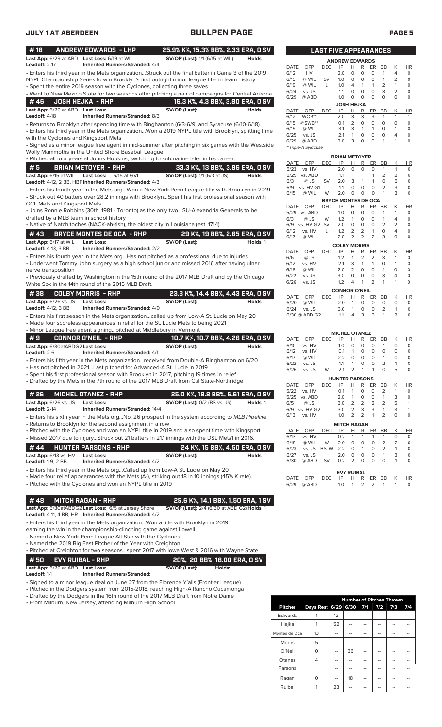| #18                                                  | <b>ANDREW EDWARDS - LHP</b><br>Last App: 6/29 at ABD Last Loss: 6/19 at WIL                                               | 25.9% K%, 15.3% BB%, 2.33 ERA, 0 SV<br><b>SV/OP (Last):</b> 1/1 (6/15 at WIL)                                                                                                                      | Holds:   |
|------------------------------------------------------|---------------------------------------------------------------------------------------------------------------------------|----------------------------------------------------------------------------------------------------------------------------------------------------------------------------------------------------|----------|
| Leadoff: 2-17                                        | <b>Inherited Runners/Stranded: 4/4</b>                                                                                    |                                                                                                                                                                                                    |          |
|                                                      | • Spent the entire 2019 season with the Cyclones, collecting three saves                                                  | Enters his third year in the Mets organizationStruck out the final batter in Game 3 of the 2019<br>NYPL Championship Series to win Brooklyn's first outright minor league title in team history    |          |
|                                                      |                                                                                                                           | . Went to New Mexico State for two seasons after pitching a pair of campaigns for Central Arizona.                                                                                                 |          |
| #46                                                  | <b>JOSH HEJKA - RHP</b>                                                                                                   | 16.3 K%, 4.3 BB%, 3.80 ERA, 0 SV                                                                                                                                                                   |          |
| Last App: 6/29 at ABD Last Loss:<br>Leadoff: 4-18    | <b>Inherited Runners/Stranded: 8/3</b>                                                                                    | SV/OP (Last):                                                                                                                                                                                      | Holds:   |
|                                                      | with the Cyclones and Kingsport Mets                                                                                      | • Returns to Brooklyn after spending time with Binghamton (6/3-6/9) and Syracuse (6/10-6/18).<br>Enters his third year in the Mets organizationWon a 2019 NYPL title with Brooklyn, splitting time |          |
|                                                      | Wolly Mammoths in the United Shore Baseball League                                                                        | • Signed as a minor league free agent in mid-summer after pitching in six games with the Westside<br>· Pitched all four years at Johns Hopkins, switching to submarine later in his career.        |          |
| #5                                                   | <b>BRIAN METOYER - RHP</b>                                                                                                | 33.3 K%, 13 BB%, 3.86 ERA, 0 SV                                                                                                                                                                    |          |
| Last App: 6/15 at WIL                                | <b>Last Loss:</b><br>5/15 at GVL<br>Leadoff: 4-12, 2 BB, HBP Inherited Runners/Stranded: 4/3                              | <b>SV/OP (Last):</b> 1/1 (6/3 at JS)                                                                                                                                                               | Holds:   |
| <b>GCL Mets and Kingsport Mets</b>                   |                                                                                                                           | . Enters his fourth year in the Mets orgWon a New York Penn League title with Brooklyn in 2019<br>• Struck out 40 batters over 28.2 innings with BrooklynSpent his first professional season with  |          |
|                                                      | drafted by a MLB team in school history                                                                                   | • Joins Ronnie Robbins (30th, 1981 - Toronto) as the only two LSU-Alexandria Generals to be                                                                                                        |          |
|                                                      | • Native of Natchitoches (NACK-ah-tish), the oldest city in Louisiana (est. 1714).                                        |                                                                                                                                                                                                    |          |
| # 43                                                 | <b>BRYCE MONTES DE OCA - RHP</b>                                                                                          | 29 K%, 19 BB%, 2.65 ERA, 0 SV                                                                                                                                                                      |          |
| Last App: 6/17 at WIL<br>Leadoff: 4-13, 3 BB         | Last Loss:<br><b>Inherited Runners/Stranded: 2/2</b>                                                                      | SV/OP (Last):                                                                                                                                                                                      | Holds: 1 |
| nerve transposition                                  |                                                                                                                           | • Enters his fourth year in the Mets orgHas not pitched as a professional due to injuries<br>• Underwent Tommy John surgery as a high school junior and missed 2016 after having ulnar             |          |
|                                                      | White Sox in the 14th round of the 2015 MLB Draft.                                                                        | • Previously drafted by Washington in the 15th round of the 2017 MLB Draft and by the Chicago                                                                                                      |          |
| #38                                                  | <b>COLBY MORRIS - RHP</b>                                                                                                 | 23.3 K%, 14.4 BB%, 4.43 ERA, 0 SV                                                                                                                                                                  |          |
| <b>Last App:</b> 6/26 vs. JS<br>Leadoff: 4-12, 3 BB  | Last Loss:<br><b>Inherited Runners/Stranded: 4/0</b>                                                                      | SV/OP (Last):                                                                                                                                                                                      | Holds:   |
|                                                      |                                                                                                                           | • Enters his first season in the Mets organizationcalled up from Low-A St. Lucie on May 20<br>• Made four scoreless appearances in relief for the St. Lucie Mets to being 2021                     |          |
|                                                      | . Minor League free agent signingpitched at Middlebury in Vermont                                                         |                                                                                                                                                                                                    |          |
| #9                                                   | <b>CONNOR O'NEIL - RHP</b>                                                                                                | 10.7 K%, 10.7 BB%, 4.26 ERA, 0 SV                                                                                                                                                                  |          |
| Last App: 6/30atABDG2 Last Loss:<br>Leadoff: 2-6     | <b>Inherited Runners/Stranded: 4/1</b>                                                                                    | SV/OP (Last):                                                                                                                                                                                      | Holds:   |
|                                                      |                                                                                                                           | • Enters his fifth year in the Mets organizationreceived from Double-A Binghamton on 6/20                                                                                                          |          |
|                                                      | • Has not pitched in 2021Last pitched for Advanced-A St. Lucie in 2019                                                    |                                                                                                                                                                                                    |          |
|                                                      |                                                                                                                           | • Spent his first professional season with Brooklyn in 2017, pitching 19 times in relief<br>• Drafted by the Mets in the 7th round of the 2017 MLB Draft from Cal State-Northridge                 |          |
| # 26                                                 | <b>MICHEL OTANEZ - RHP</b>                                                                                                | 25.0 K%, 18.8 BB%, 6.61 ERA, 0 SV                                                                                                                                                                  |          |
| <b>Last App:</b> 6/26 vs. JS<br><b>Leadoff:</b> 2-14 | <b>Last Loss:</b><br><b>Inherited Runners/Stranded: 14/4</b>                                                              | <b>SV/OP (Last): 0/2 (BS vs. JS)</b>                                                                                                                                                               | Holds: 1 |
|                                                      | • Returns to Brooklyn for the second assignment in a row                                                                  | • Enters his sixth year in the Mets orgNo. 26 prospect in the system according to MLB Pipeline                                                                                                     |          |
|                                                      |                                                                                                                           | . Pitched with the Cyclones and won an NYPL title in 2019 and also spent time with Kingsport<br>• Missed 2017 due to injuryStruck out 21 batters in 21.1 innings with the DSL Mets1 in 2016.       |          |
| #44                                                  | <b>HUNTER PARSONS - RHP</b>                                                                                               | 24 K%, 15 BB%, 4.50 ERA, 0 SV                                                                                                                                                                      |          |
| Last App: 6/13 vs. HV<br><b>Leadoff:</b> 1-9, 2 BB   | Last Loss:<br><b>Inherited Runners/Stranded: 4/2</b>                                                                      | SV/OP (Last):                                                                                                                                                                                      | Holds:   |
|                                                      |                                                                                                                           | • Enters his third year in the Mets orgCalled up from Low-A St. Lucie on May 20                                                                                                                    |          |
|                                                      | • Pitched with the Cyclones and won an NYPL title in 2019                                                                 | • Made four relief appearances with the Mets (A-), striking out 18 in 10 innings (45% K rate).                                                                                                     |          |
| #48                                                  | <b>MITCH RAGAN - RHP</b>                                                                                                  | 25.6 K%, 14.1 BB%, 1.50 ERA, 1 SV                                                                                                                                                                  |          |
|                                                      | Last App: 6/30atABDG2 Last Loss: 6/5 at Jersey Shore<br>Leadoff: 4-11, 4 BB, HR Inherited Runners/Stranded: 4/2           | SV/OP (Last): 2/4 (6/30 at ABD G2) Holds: 1                                                                                                                                                        |          |
|                                                      | earning the win in the championship-clinching game against Lowell                                                         | • Enters his third year in the Mets organizationWon a title with Brooklyn in 2019,                                                                                                                 |          |
|                                                      | • Named a New York-Penn League All-Star with the Cyclones<br>• Named the 2019 Big East Pitcher of the Year with Creighton |                                                                                                                                                                                                    |          |
|                                                      |                                                                                                                           |                                                                                                                                                                                                    |          |
|                                                      | . Pitched at Creighton for two seasonsspent 2017 with lowa West & 2016 with Wayne State.                                  |                                                                                                                                                                                                    |          |
| #50<br>Last App: 6/29 at ABD Last Loss:              | <b>EVY RUIBAL - RHP</b>                                                                                                   | 20%, 20 BB% 18.00 ERA, 0 SV<br>SV/OP (Last):<br>Holds:                                                                                                                                             |          |

**Leadoff:** 1-1 **Inherited Runners/Stranded:**

• Signed to a minor league deal on June 27 from the Florence Y'alls (Frontier League)

• Pitched in the Dodgers system from 2015-2018, reaching High-A Rancho Cucamonga

• Drafted by the Dodgers in the 16th round of the 2017 MLB Draft from Notre Dame

• From Milburn, New Jersey, attending Milburn High School

|                |                         |    | <b>Number of Pitches Thrown</b> |     |     |     |
|----------------|-------------------------|----|---------------------------------|-----|-----|-----|
| <b>Pitcher</b> | Days Rest 6/29 6/30 7/1 |    |                                 | 7/2 | 7/3 | 7/4 |
| Edwards        |                         | 12 |                                 |     |     |     |
| Hejka          |                         | 52 | --                              | --  | --  |     |
| Montes de Oca  | 13                      |    | --                              |     | --  |     |
| Morris         | 5                       | -- | --                              | --  | --  |     |
| O'Neil         | 0                       | -- | 36                              | --  | --  |     |
| Otanez         | 4                       | -- | --                              | --  | --  |     |
| Parsons        |                         | -- |                                 |     |     |     |
| Ragan          | 0                       |    | 18                              |     | --  |     |
| Ruibal         |                         | 23 |                                 |     |     |     |

|                   |                     | <b>LAST FIVE APPEARANCES</b> |                       |                |          |          |    |                |           |
|-------------------|---------------------|------------------------------|-----------------------|----------------|----------|----------|----|----------------|-----------|
|                   |                     |                              | <b>ANDREW EDWARDS</b> |                |          |          |    |                |           |
| DATE              | OPP                 | DEC                          | IP                    | н              | R        | ER       | ВB | Κ              | <b>HR</b> |
| 6/12              | HV                  |                              | 2.0                   | $\Omega$       | 0        | O        | 1  | 4              | 0         |
| 6/15              | @ WIL               | SV                           | 1.0                   | $\Omega$       | $\Omega$ | $\Omega$ | 1  | 2              | 0         |
| 6/19              | @ WIL               | L                            | 1.0                   | 4              | 1        | 1        | 2  | 1              | 0         |
| 6/24              | vs. JS              |                              | 1.1                   | $\Omega$       | 0        | O        | 3  | $\overline{2}$ | 0         |
| 6/29              | @ ABD               |                              | 1.0                   | 0              | O        | O        | O  | $\Omega$       | $\Omega$  |
| <b>JOSH HEJKA</b> |                     |                              |                       |                |          |          |    |                |           |
| DATE              | OPP                 | <b>DEC</b>                   | IP                    | н              | R        | ER       | BB | Κ              | <b>HR</b> |
| 6/12              | WOR**               |                              | 2.0                   | 3              | 3        | 3        | 1  | 1              | 1         |
| 6/15              | @SWB**              |                              | 0.1                   | $\overline{2}$ | 0        | O        | O  | O              | 0         |
| 6/19              | @ WIL               |                              | 3.1                   | 3              | 1        | 1        | O  |                | 0         |
| 6/25              | vs. JS              |                              | 2.1                   | 1              | 0        | $\Omega$ | O  | 4              | 0         |
| 6/29              | @ ABD               |                              | 3.0                   | 3              | 0        | 0        | 1  | 1              | O         |
|                   | **Triple-A Syracuse |                              |                       |                |          |          |    |                |           |
|                   |                     |                              |                       |                |          |          |    |                |           |

**BRIAN METOYER**

| DATE                       | OPP       | DEC        | IP  | н              | R        | ER       | BВ | Κ        | ΗR |
|----------------------------|-----------|------------|-----|----------------|----------|----------|----|----------|----|
| 5/23                       | vs. HV    |            | 2.0 | $\Omega$       | $\Omega$ | $\Omega$ | 1  | 1        | 0  |
| 5/29                       | vs. ABD   |            | 1.1 | 1              | 1        | 1        | 2  | 2        | 0  |
| 6/3                        | @ JS      | SV         | 2.0 | 3              | 1        | 1        | 0  | 5        | 0  |
| 6/9                        | vs. HV G1 |            | 1.1 | O              | 0        | 0        | 2  | 3        | 0  |
| 6/15                       | @ WIL     | W          | 2.0 | 0              | 0        | 0        | 1  | 3        | 0  |
| <b>BRYCE MONTES DE OCA</b> |           |            |     |                |          |          |    |          |    |
| DATE                       | OPP       | <b>DEC</b> | IP  | Н              | R        | ER       | BВ | Κ        | HR |
| 5/29                       | vs. ABD   |            | 1.0 | $\Omega$       | 0        | O        | 1  | 1        | 0  |
| 6/3                        | @ JS      | W          | 1.2 | 1              | 0        | 0        | 1  | 4        | 0  |
| 6/9                        | vs. HV G2 | <b>SV</b>  | 2.0 | $\Omega$       | O        | O        | 2  | 2        | 0  |
| 6/12                       | vs. HV    | L          | 1.2 | 2              | 2        | 1        | O  | 4        | 0  |
| 6/17                       | @ WIL     |            | 2.0 | 2              | 2        | 2        | 3  | $\Omega$ | 0  |
| <b>COLBY MORRIS</b>        |           |            |     |                |          |          |    |          |    |
| DATE                       | OPP       | DEC        | IP  | н              | R        | ER       | ВB | Κ        | ΗR |
| 6/6                        | @ JS      |            | 1.2 | 1              | 2        | 2        | 3  | 1        | 0  |
| 6/12                       | vs. HV    |            | 2.1 | 3              | 1        | 1        | O  | 1        | 0  |
| 6/16                       | @ WIL     |            | 2.0 | $\overline{2}$ | 0        | 0        | 1  | $\Omega$ | 0  |
| 6/22                       | vs. JS    |            | 3.0 | $\Omega$       | 0        | 0        | 3  | 4        | 0  |
| 6/26                       | vs. JS    |            | 1.2 | 4              | 1        | 2        | 1  | 1        | 0  |
|                            |           |            |     |                |          |          |    |          |    |

| <b>CONNOR O'NEIL</b> |  |               |       |  |  |  |                       |                             |
|----------------------|--|---------------|-------|--|--|--|-----------------------|-----------------------------|
| DATE OPP             |  |               |       |  |  |  | K                     | HR                          |
| 6/20 @ WIL           |  |               |       |  |  |  | $\Omega$              | O                           |
| $6/24$ vs. JS        |  |               |       |  |  |  | $\overline{1}$        |                             |
|                      |  | 11            |       |  |  |  | $\mathcal{P}$         |                             |
|                      |  | 6/30 @ ABD G2 | DEC - |  |  |  | 30 1 0 0 2<br>4 3 3 1 | IP H R ER BB<br>2.0 1 0 0 0 |

|                       |           |            | <b>MICHEL OTANEZ</b> |                |                |    |                |                |    |
|-----------------------|-----------|------------|----------------------|----------------|----------------|----|----------------|----------------|----|
| DATE                  | OPP       | DEC        | IP                   | Н              | R              | ER | BВ             | Κ              | ΗR |
| 6/10                  | vs. HV    |            | 1.0                  | 0              | $\Omega$       | 0  | 1              | O              | 0  |
| 6/12                  | vs. HV    |            | 0.1                  | 1              | $\Omega$       | 0  | Ο              | O              | 0  |
| 6/17                  | @ WIL     |            | 2.2                  | O              | $\Omega$       | 0  | 1              | O              | 0  |
| 6/22                  | vs. JS    |            | 1.1                  | 1              | 0              | 0  | 2              | 1              | 0  |
| 6/26                  | vs. JS    | W          | 2.1                  | 2              | 1              | 1  | $\Omega$       | 5              | O  |
| <b>HUNTER PARSONS</b> |           |            |                      |                |                |    |                |                |    |
| DATE                  | OPP       | <b>DEC</b> | IP                   | н              | R              | ER | BB             | Κ              | HR |
| 5/22                  | vs. HV    |            | 0.1                  | 1              | 0              | O  | $\overline{2}$ | 1              | 0  |
| 5/25                  | vs. ABD   |            | 2.0                  | 1              | 0              | 0  | 1              | 3              | 0  |
| 6/5                   | @ JS      |            | 3.0                  | 2              | 2              | 2  | 2              | 5              | 1  |
| 6/9                   | vs. HV G2 |            | 3.0                  | 2              | 3              | 3  | 1              | 3              | 1  |
| 6/13                  | vs. HV    |            | 1.0                  | $\overline{2}$ | $\overline{2}$ | 1  | $\overline{2}$ | O              | 0  |
| <b>MITCH RAGAN</b>    |           |            |                      |                |                |    |                |                |    |
| <b>DATE</b>           | OPP       | <b>DEC</b> | IP                   | Н              | R              | ER | <b>BB</b>      | Κ              | ΗR |
| 6/13                  | vs. HV    |            | 0.2                  | 1              | 1              | 1  | 1              | O              | 0  |
| 6/18                  | @ WIL     | W          | 2.0                  | ი              | ი              | ი  | 2              | $\overline{2}$ | 0  |

| 6/27 vs. JS  2.0  0  0  0<br>$\overline{\mathbf{3}}$<br>$\overline{1}$<br>6/30 @ ABD SV 0.2 2 0 0 0<br><b>EVY RUIBAL</b> | $\Omega$     |
|--------------------------------------------------------------------------------------------------------------------------|--------------|
|                                                                                                                          |              |
|                                                                                                                          |              |
|                                                                                                                          |              |
|                                                                                                                          |              |
| DATE OPP DEC IP H R ER BB K HR                                                                                           |              |
| 6/29 @ ABD<br>1.0 1 2 2 1                                                                                                | <sup>n</sup> |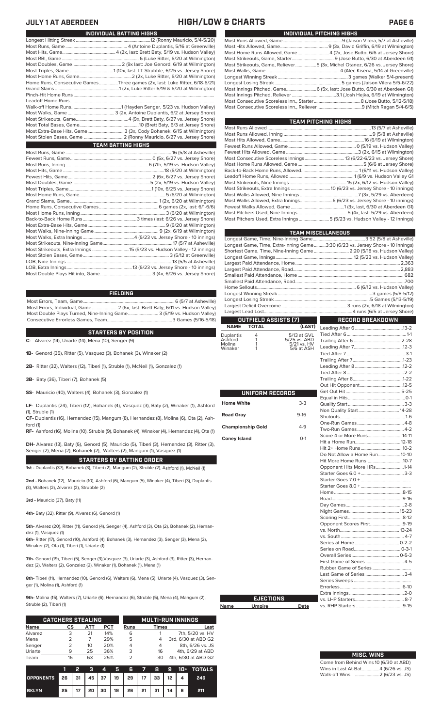## **JULY 1 AT ABERDEEN HIGH/LOW & CHARTS PAGE 6**

| INDIVIDUAL PITCHING HIGHS                                                   |
|-----------------------------------------------------------------------------|
|                                                                             |
|                                                                             |
| Most Home Runs Allowed, Game4 (2x, Jose Butto, 6/6 at Jersey Shore)         |
|                                                                             |
| Most Strikeouts, Game, Reliever5 (3x, Michel Otanez, 6/26 vs. Jersey Shore) |
|                                                                             |
|                                                                             |
|                                                                             |
|                                                                             |
|                                                                             |
|                                                                             |
|                                                                             |

| TEAM PITCHING HIGHS                                                       |  |
|---------------------------------------------------------------------------|--|
|                                                                           |  |
|                                                                           |  |
|                                                                           |  |
|                                                                           |  |
|                                                                           |  |
|                                                                           |  |
|                                                                           |  |
|                                                                           |  |
|                                                                           |  |
|                                                                           |  |
|                                                                           |  |
|                                                                           |  |
|                                                                           |  |
|                                                                           |  |
|                                                                           |  |
| Most Pitchers Used, Extra Innings 5 (5/23 vs. Hudson Valley - 12 innings) |  |
|                                                                           |  |

|                          |                                             |                             | <b>TEAM MISCELLANEOUS</b>                                                      |
|--------------------------|---------------------------------------------|-----------------------------|--------------------------------------------------------------------------------|
|                          |                                             |                             |                                                                                |
|                          |                                             |                             | Longest Game, Time, Extra-Inning Game3:30 (6/23 vs. Jersey Shore - 10 innings) |
|                          |                                             |                             | Shortest Game, Time, Nine-Inning Game  2:20 (5/18 vs. Hudson Valley)           |
|                          |                                             |                             |                                                                                |
|                          |                                             |                             |                                                                                |
|                          |                                             |                             |                                                                                |
|                          |                                             |                             |                                                                                |
|                          |                                             |                             |                                                                                |
|                          |                                             |                             |                                                                                |
|                          |                                             |                             |                                                                                |
|                          |                                             |                             |                                                                                |
|                          |                                             |                             |                                                                                |
|                          |                                             |                             |                                                                                |
|                          | <b>OUTFIELD ASSISTS (7)</b><br><b>TOTAL</b> |                             | <b>RECORD BREAKDOWN</b>                                                        |
| <b>NAME</b>              |                                             | (LAST)                      |                                                                                |
| Duplantis                | 4<br>1                                      | 5/13 at GVL                 |                                                                                |
| Ashford<br>Molina        | 1                                           | 5/25 vs. ABD<br>5/21 vs. HV |                                                                                |
| Winaker                  | 1                                           | 5/6 at ASH                  |                                                                                |
|                          |                                             |                             |                                                                                |
|                          |                                             |                             |                                                                                |
|                          |                                             |                             |                                                                                |
|                          |                                             |                             |                                                                                |
|                          |                                             |                             |                                                                                |
|                          |                                             |                             |                                                                                |
|                          | UNIFORM RECORDS                             |                             |                                                                                |
| <b>Home White</b>        |                                             | $3-3$                       |                                                                                |
|                          |                                             |                             |                                                                                |
| <b>Road Gray</b>         |                                             | $9-16$                      |                                                                                |
|                          |                                             |                             |                                                                                |
| <b>Championship Gold</b> |                                             | $4-9$                       |                                                                                |
|                          |                                             |                             | Score 4 or More Runs 14-11                                                     |
| <b>Coney Island</b>      |                                             | $O-1$                       |                                                                                |
|                          |                                             |                             |                                                                                |
|                          |                                             |                             | Do Not Allow a Home Run10-10                                                   |
|                          |                                             |                             | Hit More Home Runs 10-7                                                        |
|                          |                                             |                             | Opponent Hits More HRs1-14                                                     |
|                          |                                             |                             |                                                                                |
|                          |                                             |                             |                                                                                |
|                          |                                             |                             |                                                                                |
|                          |                                             |                             |                                                                                |
|                          |                                             |                             |                                                                                |
|                          |                                             |                             |                                                                                |
|                          |                                             |                             |                                                                                |
|                          |                                             |                             |                                                                                |
|                          |                                             |                             | Opponent Scores First9-19                                                      |
|                          |                                             |                             |                                                                                |
|                          |                                             |                             |                                                                                |
|                          |                                             |                             | $0 - 3 - 1$                                                                    |
|                          |                                             |                             |                                                                                |
|                          |                                             |                             |                                                                                |
|                          |                                             |                             |                                                                                |
|                          |                                             |                             | Last Game of Series  3-4                                                       |
|                          |                                             |                             |                                                                                |
|                          |                                             |                             |                                                                                |
|                          |                                             |                             |                                                                                |
|                          | <b>EJECTIONS</b>                            |                             |                                                                                |
| <u>Name</u>              | <b>Umpire</b>                               | <b>Date</b>                 |                                                                                |

| Last Game of Series  3-4 |  |
|--------------------------|--|
|                          |  |
|                          |  |
|                          |  |
|                          |  |
|                          |  |
|                          |  |
|                          |  |
|                          |  |
|                          |  |
|                          |  |

# **MISC. WINS**

| Come from Behind Wins 10 (6/30 at ABD) |  |  |
|----------------------------------------|--|--|
| Wins in Last At-Bat4 (6/26 vs. JS)     |  |  |
| Walk-off Wins …………………2 (6/23 vs. JS)   |  |  |

| INDIVIDUAL BATTING HIGHS |                                                                             |  |  |  |  |
|--------------------------|-----------------------------------------------------------------------------|--|--|--|--|
|                          |                                                                             |  |  |  |  |
|                          |                                                                             |  |  |  |  |
|                          |                                                                             |  |  |  |  |
|                          |                                                                             |  |  |  |  |
|                          |                                                                             |  |  |  |  |
|                          |                                                                             |  |  |  |  |
|                          |                                                                             |  |  |  |  |
|                          | Home Runs, Consecutive Games Three games (2x, last: Luke Ritter, 6/18-6/21) |  |  |  |  |
|                          |                                                                             |  |  |  |  |
|                          |                                                                             |  |  |  |  |
|                          |                                                                             |  |  |  |  |
|                          |                                                                             |  |  |  |  |
|                          |                                                                             |  |  |  |  |
|                          |                                                                             |  |  |  |  |
|                          |                                                                             |  |  |  |  |
|                          | Most Extra-Base Hits, Game 3 (3x, Cody Bohanek, 6/15 at Wilmington)         |  |  |  |  |
|                          |                                                                             |  |  |  |  |
|                          | <b>TEAM BATTING HIGHS</b>                                                   |  |  |  |  |
|                          |                                                                             |  |  |  |  |
|                          |                                                                             |  |  |  |  |
|                          |                                                                             |  |  |  |  |
|                          |                                                                             |  |  |  |  |
|                          |                                                                             |  |  |  |  |
|                          |                                                                             |  |  |  |  |
|                          |                                                                             |  |  |  |  |
|                          |                                                                             |  |  |  |  |
|                          |                                                                             |  |  |  |  |
|                          |                                                                             |  |  |  |  |
|                          |                                                                             |  |  |  |  |
|                          |                                                                             |  |  |  |  |
|                          |                                                                             |  |  |  |  |
|                          |                                                                             |  |  |  |  |
|                          |                                                                             |  |  |  |  |
|                          |                                                                             |  |  |  |  |
|                          |                                                                             |  |  |  |  |
|                          |                                                                             |  |  |  |  |
|                          |                                                                             |  |  |  |  |

LOB, Extra Innings........................................................13 (6/23 vs. Jersey Shore - 10 innings) Most Double Plays Hit into, Game....

## **FIELDING**

Most Errors, Team, Game...............................................................................6 (5/7 at Asheville) .<br>2 (6x, last: Brett Baty, 6/11 vs. Hudson Valley)<br>3 (5/19 vs. Hudson Valley) Most Double Plays Turned, Nine-Inning Game.......................... 3 (5/19 vs. Hudson Valley) Consecutive Errorless Games, Team.

**STARTERS BY POSITION**

**C-** Alvarez (14), Uriarte (14), Mena (10), Senger (9)

**1B-** Genord (35), Ritter (5), Vasquez (3), Bohanek (3), Winaker (2)

**2B-** Ritter (32), Walters (12), Tiberi (1), Struble (1), McNeil (1), Gonzalez (1)

**3B-** Baty (36), Tiberi (7), Bohanek (5)

**SS-** Mauricio (40), Walters (4), Bohanek (3), Gonzalez (1)

**LF-** Duplantis (24), Tiberi (12), Bohanek (4), Vasquez (3), Baty (2), Winaker (1), Ashford (1), Struble (1)

**CF-** Duplantis (16), Hernandez (15), Mangum (8), Hernandez (8), Molina (6), Ota (2), Ash-

ford (1) **RF-** Ashford (16), Molina (10), Struble (9), Bohanek (4), Winaker (4), Hernandez (4), Ota (1)

**DH-** Alvarez (13), Baty (6), Genord (5), Mauricio (5), Tiberi (3), Hernandez (3), Ritter (3), Senger (2), Mena (2), Bohanek (2), Walters (2), Mangum (1), Vasquez (1)

**STARTERS BY BATTING ORDER 1st -** Duplantis (37), Bohanek (3), Tiberi (2), Mangum (2), Struble (2), Ashford (1), McNeil (1)

**2nd -** Bohanek (12), Mauricio (10), Ashford (6), Mangum (5), Winaker (4), Tiberi (3), Duplantis (3), Walters (2), Alvarez (2), Strubble (2)

**3rd -** Mauricio (37), Baty (11)

**4th-** Baty (32), Ritter (9), Alvarez (6), Genord (1)

**5th-** Alvarez (20), Ritter (11), Genord (4), Senger (4), Ashford (3), Ota (2), Bohanek (2), Hernandez (1), Vasquez (1)

**6th-** Ritter (17), Genord (10), Ashford (4). Bohanek (3), Hernandez (3), Senger (3), Mena (2), Winaker (2), Ota (1), Tiberi (1), Uriarte (1)

**7th-** Genord (19), Tiberi (5), Senger (3),Vasquez (3), Uriarte (3), Ashford (3), Ritter (3), Hernandez (2), Walters (2), Gonzalez (2), Winaker (1), Bohanek (1), Mena (1)

**8th-** Tiberi (11), Hernandez (10), Genord (6), Walters (6), Mena (5), Uriarte (4), Vasquez (3), Senger (1), Molina (1), Ashford (1)

**9th-** Molina (15), Walters (7), Uriarte (6), Hernandez (6), Struble (5), Mena (4), Mangum (2), Struble (2), Tiberi (1)

**Name** 

Home

|             | <b>CATCHERS STEALING</b> |     |            |      | <b>MULTI-RUN INNINGS</b> |                     |  |  |  |  |
|-------------|--------------------------|-----|------------|------|--------------------------|---------------------|--|--|--|--|
| <b>Name</b> | СS                       | АТТ | <b>PCT</b> | Runs | <b>Times</b>             | Last                |  |  |  |  |
| Alvarez     | 3                        | 21  | 14%        | 6    |                          | 7th, 5/20 vs. HV    |  |  |  |  |
| Mena        | フ                        | 7   | 29%        | 5    |                          | 3rd, 6/30 at ABD G2 |  |  |  |  |
| Senger      |                          | 10  | 20%        |      | 4                        | 8th, 6/26 vs. JS    |  |  |  |  |
| Uriarte     | 9                        | 25  | 36%        | 3    | 16                       | 4th, 6/29 at ABD    |  |  |  |  |
| Team        | 16                       | 63  | 25%        |      | 30                       | 4th, 6/30 at ABD G2 |  |  |  |  |

|                  |                                                | 2  | -31 | $\blacksquare$ |                                  |  |   | 5 6 7 8 9 10 + TOTALS |
|------------------|------------------------------------------------|----|-----|----------------|----------------------------------|--|---|-----------------------|
| <b>OPPONENTS</b> | 26   31   45   37   19   29   17   33   12   4 |    |     |                |                                  |  |   | 246                   |
| <b>BKLYN</b>     | 25                                             | 17 |     |                | 20   30   19   26   21   31   14 |  | 6 | 211                   |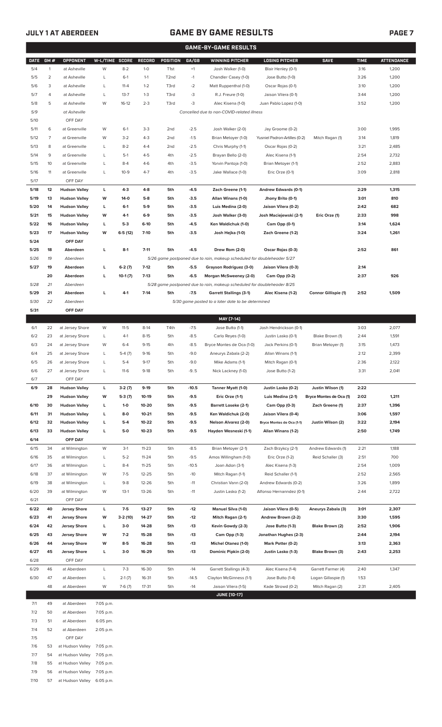# **JULY 1 AT ABERDEEN GAME BY GAME RESULTS PAGE 7**

|             | <b>GAME-BY-GAME RESULTS</b> |                      |                |           |               |                   |         |                                                                         |                               |                             |             |                   |
|-------------|-----------------------------|----------------------|----------------|-----------|---------------|-------------------|---------|-------------------------------------------------------------------------|-------------------------------|-----------------------------|-------------|-------------------|
| <b>DATE</b> | GM#                         | OPPONENT             | W-L/TIME SCORE |           | <b>RECORD</b> | <b>POSITION</b>   | GA/GB   | <b>WINNING PITCHER</b>                                                  | <b>LOSING PITCHER</b>         | <b>SAVE</b>                 | <b>TIME</b> | <b>ATTENDANCE</b> |
| 5/4         | $\mathbf{1}$                | at Asheville         | W              | $8 - 2$   | $1-0$         | T <sub>1st</sub>  | $+1$    | Josh Walker (1-0)                                                       | Blair Henley (0-1)            |                             | 3:16        | 1,200             |
| 5/5         | $\overline{2}$              | at Asheville         | L              | $6-1$     | $1 - 1$       | T <sub>2</sub> nd | $-1$    | Chandler Casey (1-0)                                                    | Jose Butto (1-0)              |                             | 3:26        | 1,200             |
| 5/6         | 3                           | at Asheville         | L              | $11 - 4$  | $1 - 2$       | T3rd              | $-2$    | Matt Ruppenthal (1-0)                                                   | Oscar Rojas (0-1)             |                             | 3:10        | 1,200             |
| 5/7         | 4                           | at Asheville         | $\mathsf{L}$   | $13 - 7$  | $1 - 3$       | T3rd              | $-3$    | R.J. Freure (1-0)                                                       | Jaison Vilera (0-1)           |                             | 3:44        | 1,200             |
| 5/8         | 5                           | at Asheville         | W              | $16-12$   | $2 - 3$       | T3rd              | -3      | Alec Kisena (1-0)                                                       | Juan Pablo Lopez (1-0)        |                             | 3:52        | 1,200             |
| 5/9         |                             | at Asheville         |                |           |               |                   |         | Cancelled due to non-COVID-related illness                              |                               |                             |             |                   |
| 5/10        |                             | OFF DAY              |                |           |               |                   |         |                                                                         |                               |                             |             |                   |
| 5/11        | 6                           | at Greenville        | W              | $6-1$     | $3-3$         | 2 <sub>nd</sub>   | $-2.5$  | Josh Walker (2-0)                                                       | Jay Groome (0-2)              |                             | 3:00        | 1,995             |
| 5/12        | $\overline{7}$              | at Greenville        | W              | $3 - 2$   | $4 - 3$       | 2 <sub>nd</sub>   | $-1.5$  | Brian Metoyer (1-0)                                                     | Yusniel Padron-Artilles (0-2) | Mitch Ragan (1)             | 3:14        | 1,819             |
| 5/13        | 8                           | at Greenville        | L              | $8 - 2$   | $4 - 4$       | 2 <sub>nd</sub>   | $-2.5$  | Chris Murphy (1-1)                                                      | Oscar Rojas (0-2)             |                             | 3:21        | 2,485             |
| 5/14        | 9                           | at Greenville        | L              | $5-1$     | $4 - 5$       | 4th               | $-2.5$  | Brayan Bello (2-0)                                                      | Alec Kisena (1-1)             |                             | 2:54        | 2,732             |
| 5/15        | 10                          | at Greenville        | L              | $8 - 4$   | $4-6$         | 4th               | $-3.5$  | Yorvin Pantoja (1-0)                                                    | Brian Metoyer (1-1)           |                             | 2:52        | 2,883             |
| 5/16        | 11                          | at Greenville        | L              | $10 - 9$  | $4 - 7$       | 4th               | $-3.5$  | Jake Wallace (1-0)                                                      | Eric Orze (0-1)               |                             | 3:09        | 2,818             |
| 5/17        |                             | OFF DAY              |                |           |               |                   |         |                                                                         |                               |                             |             |                   |
| 5/18        | 12                          | <b>Hudson Valley</b> | L              | $4 - 3$   | $4 - 8$       | 5th               | $-4.5$  | Zach Greene (1-1)                                                       | Andrew Edwards (0-1)          |                             | 2:29        | 1,315             |
| 5/19        | 13                          | <b>Hudson Valley</b> | W              | $14-0$    | $5-8$         | 5th               | $-3.5$  | Allan Winans (1-0)                                                      | Jhony Brito (0-1)             |                             | 3:01        | 810               |
| 5/20        | 14                          | <b>Hudson Valley</b> | L              | $6 - 1$   | $5-9$         | 5th               | $-3.5$  | Luis Medina (2-0)                                                       | Jaison Vilera (0-2)           |                             | 2:42        | 682               |
| 5/21        | 15                          | <b>Hudson Valley</b> | W              | $4-1$     | $6-9$         | 5th               | $-3.5$  | Josh Walker (3-0)                                                       | Josh Maciejewski (2-1)        | Eric Orze (1)               | 2:33        | 998               |
| 5/22        | 16                          | <b>Hudson Valley</b> | L              | $5-3$     | $6-10$        | 5th               | $-4.5$  | Ken Waldichuk (1-0)                                                     | Cam Opp (0-1)                 |                             | 3:14        | 1,624             |
| 5/23        | 17                          | <b>Hudson Valley</b> | W              | $6-5(12)$ | $7-10$        | 5th               | $-3.5$  | Josh Hejka (1-0)                                                        | Zach Greene (1-2)             |                             | 3:24        | 1,261             |
| 5/24        |                             | OFF DAY              |                |           |               |                   |         |                                                                         |                               |                             |             |                   |
| 5/25        | 18                          | Aberdeen             | L              | $8-1$     | $7 - 11$      | 5th               | $-4.5$  | Drew Rom (2-0)                                                          | Oscar Rojas (0-3)             |                             | 2:52        | 861               |
| 5/26        | 19                          | Aberdeen             |                |           |               |                   |         | 5/26 game postponed due to rain, makeup scheduled for doubleheader 5/27 |                               |                             |             |                   |
| 5/27        | 19                          | Aberdeen             | г              | $6-2(7)$  | $7-12$        | 5th               | $-5.5$  | Grayson Rodriguez (3-0)                                                 | Jaison Vilera (0-3)           |                             | 2:14        |                   |
|             | 20                          | Aberdeen             | г              | $10-1(7)$ | $7-13$        | 5th               | $-6.5$  | Morgan McSweeney (2-0)                                                  | Cam Opp (0-2)                 |                             | 2:37        | 926               |
| 5/28        | 21                          | Aberdeen             |                |           |               |                   |         | 5/28 game postponed due to rain, makeup scheduled for doubleheader 8/25 |                               |                             |             |                   |
| 5/29        | 21                          | Aberdeen             | г              | $4-1$     | $7-14$        | 5th               | $-7.5$  | <b>Garrett Stallings (3-1)</b>                                          | Alec Kisena (1-2)             | <b>Connor Gillispie (1)</b> | 2:52        | 1,509             |
| 5/30        | 22                          | Aberdeen             |                |           |               |                   |         | 5/30 game posted to a later date to be determined                       |                               |                             |             |                   |
| 5/31        |                             | OFF DAY              |                |           |               |                   |         |                                                                         |                               |                             |             |                   |
|             |                             |                      |                |           |               |                   |         | MAY [7-14]                                                              |                               |                             |             |                   |
| 6/1         | 22                          | at Jersey Shore      | W              | $11 - 5$  | $8-14$        | T4th              | $-7.5$  | Jose Butto (1-1)                                                        | Josh Hendrickson (0-1)        |                             | 3:03        | 2,077             |
| 6/2         | 23                          | at Jersey Shore      | L              | $4-1$     | $8 - 15$      | 5th               | $-8.5$  | Carlo Reyes (1-0)                                                       | Justin Lasko (0-1)            | Blake Brown (1)             | 2:44        | 1,591             |
| 6/3         | 24                          | at Jersey Shore      | W              | $6 - 4$   | $9 - 15$      | 4th               | $-8.5$  | Bryce Montes de Oca (1-0)                                               | Jack Perkins (0-1)            | Brian Metoyer (1)           | 3:15        | 1,473             |
| 6/4         | 25                          | at Jersey Shore      | Г              | $5-4(7)$  | $9-16$        | 5th               | $-9.0$  | Aneurys Zabala (2-2)                                                    | Allan Winans (1-1)            |                             | 2:12        | 2,399             |
| 6/5         | 26                          | at Jersey Shore      | Г              | $5 - 4$   | $9-17$        | 5th               | $-9.0$  | Mike Adams (1-1)                                                        | Mitch Ragan (0-1)             |                             | 2:36        | 2,122             |
| 6/6         | 27                          | at Jersey Shore      | L              | $11-6$    | $9-18$        | 5th               | $-9.5$  | Nick Lackney (1-0)                                                      | Jose Butto (1-2)              |                             | 3:31        | 2,041             |
| 6/7         |                             | OFF DAY              |                |           |               |                   |         |                                                                         |                               |                             |             |                   |
| 6/9         | 28                          | <b>Hudson Valley</b> | L              | $3-2(7)$  | $9-19$        | 5th               | $-10.5$ | Tanner Myatt (1-0)                                                      | Justin Lasko (0-2)            | Justin Wilson (1)           | 2:22        |                   |
|             | 29                          | <b>Hudson Valley</b> | W              | $5-3(7)$  | 10-19         | 5th               | $-9.5$  | Eric Orze (1-1)                                                         | Luis Medina (2-1)             | Bryce Montes de Oca (1)     | 2:02        | 1,211             |
| 6/10        | 30                          | <b>Hudson Valley</b> | L              | $1-0$     | $10 - 20$     | 5th               | $-9.5$  | <b>Barrett Loseke (2-1)</b>                                             | Cam Opp (0-3)                 | Zach Greene (1)             | 2:37        | 1,396             |
| 6/11        | 31                          | <b>Hudson Valley</b> | L              | $8-0$     | $10 - 21$     | 5th               | $-9.5$  | Ken Waldichuk (2-0)                                                     | Jaison Vilera (0-4)           |                             | 3:06        | 1,597             |
| 6/12        | 32                          | <b>Hudson Valley</b> | L              | $5-4$     | 10-22         | 5th               | $-9.5$  | Nelson Alvarez (2-0)                                                    | Bryce Montes de Oca (1-1)     | Justin Wilson (2)           | 3:22        | 2,194             |
| 6/13        | 33                          | <b>Hudson Valley</b> | L              | $5-0$     | $10 - 23$     | 5th               | $-9.5$  | Hayden Wesneski (1-1)                                                   | Allan Winans (1-2)            |                             | 2:50        | 1,749             |
| 6/14        |                             | OFF DAY              |                |           |               |                   |         |                                                                         |                               |                             |             |                   |
| 6/15        | 34                          | at Wilmington        | W              | $3-1$     | $11 - 23$     | 5th               | $-8.5$  | Brian Metoyer (2-1)                                                     | Zach Brzykcy (2-1)            | Andrew Edwards (1)          | 2:21        | 1,188             |
| 6/16        | 35                          | at Wilmington        | L              | $5 - 2$   | $11 - 24$     | 5th               | $-9.5$  | Amos Willingham (1-0)                                                   | Eric Orze (1-2)               | Reid Schaller (3)           | 2:51        | 700               |
| 6/17        | 36                          | at Wilmington        | L              | $8 - 4$   | $11 - 25$     | 5th               | $-10.5$ | Joan Adon (3-1)                                                         | Alec Kisena (1-3)             |                             | 2:54        | 1,009             |
| 6/18        | 37                          | at Wilmington        | W              | $7 - 5$   | $12 - 25$     | 5th               | $-10$   | Mitch Ragan (1-1)                                                       | Reid Schaller (1-1)           |                             | 2:52        | 2,565             |
| 6/19        | 38                          | at Wilmington        | L              | $9 - 8$   | $12 - 26$     | 5th               | $-11$   | Christian Vann (2-0)                                                    | Andrew Edwards (0-2)          |                             | 3:26        | 1,899             |
| 6/20        | 39                          | at Wilmington        | W              | $13-1$    | $13 - 26$     | 5th               | $-11$   | Justin Lasko (1-2)                                                      | Alfonso Hernanndez (0-1)      |                             | 2:44        | 2,722             |
| 6/21        |                             | OFF DAY              |                |           |               |                   |         |                                                                         |                               |                             |             |                   |
| 6/22        | 40                          | <b>Jersey Shore</b>  | L              | $7-5$     | $13 - 27$     | 5th               | $-12$   | Manuel Silva (1-0)                                                      | Jaison Vilera (0-5)           | Aneurys Zabala (3)          | 3:01        | 2,307             |
| 6/23        | 41                          | <b>Jersey Shore</b>  | W              | $3-2(10)$ | 14-27         | 5th               | $-12$   | Mitch Ragan (2-1)                                                       | Andrew Brown (2-2)            |                             | 3:30        | 1,595             |
| 6/24        | 42                          | <b>Jersey Shore</b>  | L              | $3-0$     | 14-28         | 5th               | $-13$   | Kevin Gowdy (2-3)                                                       | Jose Butto (1-3)              | Blake Brown (2)             | 2:52        | 1,906             |
| 6/25        | 43                          | <b>Jersey Shore</b>  | W              | $7-2$     | 15-28         | 5th               | $-13$   | Cam Opp (1-3)                                                           | Jonathan Hughes (2-3)         |                             | 2:44        | 2,194             |
| 6/26        | 44                          | <b>Jersey Shore</b>  | W              | $8-5$     | 16-28         | 5th               | $-13$   | Michel Otanez (1-0)                                                     | Mark Potter (0-2)             |                             | 3:13        | 2,363             |
| 6/27        | 45                          | <b>Jersey Shore</b>  | L              | $3-0$     | 16-29         | 5th               | $-13$   | Dominic Pipkin (2-0)                                                    | Justin Lasko (1-3)            | Blake Brown (3)             | 2:43        | 2,253             |
| 6/28        |                             | OFF DAY              |                |           |               |                   |         |                                                                         |                               |                             |             |                   |
| 6/29        | 46                          | at Aberdeen          | L              | $7-3$     | 16-30         | 5th               | $-14$   | Garrett Stallings (4-3)                                                 | Alec Kisena (1-4)             | Garrett Farmer (4)          | 2:40        | 1,347             |
| 6/30        | 47                          | at Aberdeen          | L              | $2-1(7)$  | 16-31         | 5th               | $-14.5$ | Clayton McGinness (1-1)                                                 | Jose Butto (1-4)              | Logan Gillaspie (1)         | 1:53        |                   |
|             | 48                          | at Aberdeen          | W              | $7-6(7)$  | $17 - 31$     | 5th               | $-14$   | Jaison Vilera (1-5)                                                     | Kade Strowd (0-2)             | Mitch Ragan (2)             | 2:31        | 2,405             |
|             |                             |                      |                |           |               |                   |         | <b>JUNE [10-17]</b>                                                     |                               |                             |             |                   |
| 7/1         | 49                          | at Aberdeen          | 7:05 p.m.      |           |               |                   |         |                                                                         |                               |                             |             |                   |

| 7/2  | 50 | at Aberdeen                | 7:05 p.m. |
|------|----|----------------------------|-----------|
| 7/3  | 51 | at Aberdeen                | 6:05 pm.  |
| 7/4  | 52 | at Aberdeen                | 2:05 p.m. |
| 7/5  |    | OFF DAY                    |           |
| 7/6  | 53 | at Hudson Valley 7:05 p.m. |           |
| 7/7  | 54 | at Hudson Valley 7:05 p.m. |           |
| 7/8  | 55 | at Hudson Valley 7:05 p.m. |           |
| 7/9  | 56 | at Hudson Valley 7:05 p.m. |           |
| 7/10 | 57 | at Hudson Valley 6:05 p.m. |           |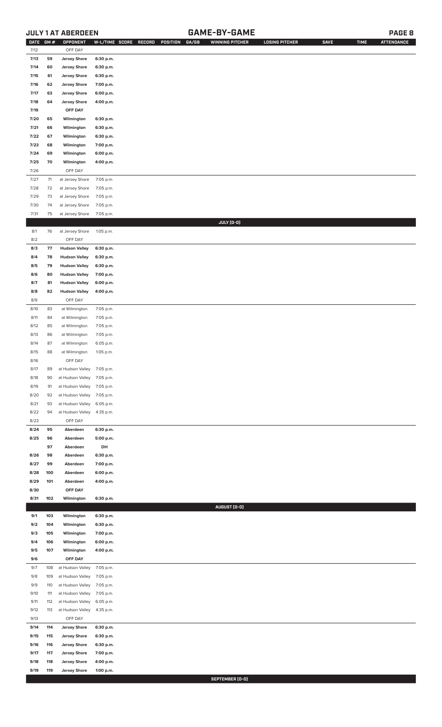# **JULY 1 AT ABERDEEN GAME-BY-GAME PAGE 8**

| <b>DATE</b> | GM# | <b>OPPONENT</b>            | W-L/TIME SCORE | GA/GB<br>RECORD<br>POSITION | <b>WINNING PITCHER</b> | <b>LOSING PITCHER</b> | <b>SAVE</b> | <b>TIME</b> | <b>ATTENDANCE</b> |
|-------------|-----|----------------------------|----------------|-----------------------------|------------------------|-----------------------|-------------|-------------|-------------------|
| 7/12        |     | OFF DAY                    |                |                             |                        |                       |             |             |                   |
| 7/13        | 59  | <b>Jersey Shore</b>        | 6:30 p.m.      |                             |                        |                       |             |             |                   |
| 7/14        | 60  | <b>Jersey Shore</b>        | 6:30 p.m.      |                             |                        |                       |             |             |                   |
| 7/15        | 61  | <b>Jersey Shore</b>        | 6:30 p.m.      |                             |                        |                       |             |             |                   |
| 7/16        | 62  | <b>Jersey Shore</b>        | 7:00 p.m.      |                             |                        |                       |             |             |                   |
| 7/17        | 63  | <b>Jersey Shore</b>        | 6:00 p.m.      |                             |                        |                       |             |             |                   |
|             |     |                            |                |                             |                        |                       |             |             |                   |
| 7/18        | 64  | <b>Jersey Shore</b>        | 4:00 p.m.      |                             |                        |                       |             |             |                   |
| 7/19        |     | OFF DAY                    |                |                             |                        |                       |             |             |                   |
| 7/20        | 65  | Wilmington                 | 6:30 p.m.      |                             |                        |                       |             |             |                   |
| 7/21        | 66  | Wilmington                 | 6:30 p.m.      |                             |                        |                       |             |             |                   |
| 7/22        | 67  | Wilmington                 | 6:30 p.m.      |                             |                        |                       |             |             |                   |
| 7/23        | 68  | Wilmington                 | 7:00 p.m.      |                             |                        |                       |             |             |                   |
| 7/24        | 69  | Wilmington                 | 6:00 p.m.      |                             |                        |                       |             |             |                   |
| 7/25        | 70  | Wilmington                 | 4:00 p.m.      |                             |                        |                       |             |             |                   |
| 7/26        |     | OFF DAY                    |                |                             |                        |                       |             |             |                   |
| 7/27        | 71  | at Jersey Shore            | 7:05 p.m.      |                             |                        |                       |             |             |                   |
| 7/28        | 72  | at Jersey Shore            | 7:05 p.m.      |                             |                        |                       |             |             |                   |
| 7/29        | 73  | at Jersey Shore            | 7:05 p.m.      |                             |                        |                       |             |             |                   |
| 7/30        | 74  | at Jersey Shore            | 7:05 p.m.      |                             |                        |                       |             |             |                   |
| 7/31        | 75  | at Jersey Shore            | 7:05 p.m.      |                             |                        |                       |             |             |                   |
|             |     |                            |                |                             | JULY (0-0)             |                       |             |             |                   |
| 8/1         | 76  | at Jersey Shore            | 1:05 p.m.      |                             |                        |                       |             |             |                   |
| 8/2         |     | OFF DAY                    |                |                             |                        |                       |             |             |                   |
| 8/3         | 77  | <b>Hudson Valley</b>       | 6:30 p.m.      |                             |                        |                       |             |             |                   |
| 8/4         | 78  | <b>Hudson Valley</b>       | 6:30 p.m.      |                             |                        |                       |             |             |                   |
| 8/5         | 79  | <b>Hudson Valley</b>       | 6:30 p.m.      |                             |                        |                       |             |             |                   |
| 8/6         | 80  | <b>Hudson Valley</b>       | 7:00 p.m.      |                             |                        |                       |             |             |                   |
| 8/7         | 81  | <b>Hudson Valley</b>       |                |                             |                        |                       |             |             |                   |
|             |     |                            | 6:00 p.m.      |                             |                        |                       |             |             |                   |
| 8/8         | 82  | <b>Hudson Valley</b>       | 4:00 p.m.      |                             |                        |                       |             |             |                   |
| 8/9         |     | OFF DAY                    |                |                             |                        |                       |             |             |                   |
| 8/10        | 83  | at Wilmington              | 7:05 p.m.      |                             |                        |                       |             |             |                   |
| 8/11        | 84  | at Wilmington              | 7:05 p.m.      |                             |                        |                       |             |             |                   |
| 8/12        | 85  | at Wilmington              | 7:05 p.m.      |                             |                        |                       |             |             |                   |
| 8/13        | 86  | at Wilmington              | 7:05 p.m.      |                             |                        |                       |             |             |                   |
| 8/14        | 87  | at Wilmington              | 6:05 p.m.      |                             |                        |                       |             |             |                   |
| 8/15        | 88  | at Wilmington              | 1:05 p.m.      |                             |                        |                       |             |             |                   |
| 8/16        |     | OFF DAY                    |                |                             |                        |                       |             |             |                   |
| 8/17        | 89  | at Hudson Valley 7:05 p.m. |                |                             |                        |                       |             |             |                   |
| 8/18        | 90  | at Hudson Valley           | 7:05 p.m.      |                             |                        |                       |             |             |                   |
| 8/19        | 91  | at Hudson Valley           | 7:05 p.m.      |                             |                        |                       |             |             |                   |
| 8/20        | 92  | at Hudson Valley           | 7:05 p.m.      |                             |                        |                       |             |             |                   |
| 8/21        | 93  | at Hudson Valley           | 6:05 p.m.      |                             |                        |                       |             |             |                   |
| 8/22        | 94  | at Hudson Valley           | 4:35 p.m.      |                             |                        |                       |             |             |                   |
| 8/23        |     | OFF DAY                    |                |                             |                        |                       |             |             |                   |
| 8/24        | 95  | Aberdeen                   | 6:30 p.m.      |                             |                        |                       |             |             |                   |
| 8/25        | 96  | Aberdeen                   | 5:00 p.m.      |                             |                        |                       |             |             |                   |
|             | 97  | Aberdeen                   | DH             |                             |                        |                       |             |             |                   |
| 8/26        | 98  | Aberdeen                   | 6:30 p.m.      |                             |                        |                       |             |             |                   |
| 8/27        | 99  | Aberdeen                   | 7:00 p.m.      |                             |                        |                       |             |             |                   |
| 8/28        | 100 | Aberdeen                   | 6:00 p.m.      |                             |                        |                       |             |             |                   |
| 8/29        | 101 | Aberdeen                   | 4:00 p.m.      |                             |                        |                       |             |             |                   |
| 8/30        |     | OFF DAY                    |                |                             |                        |                       |             |             |                   |
| 8/31        | 102 | Wilmington                 | 6:30 p.m.      |                             |                        |                       |             |             |                   |
|             |     |                            |                |                             | AUGUST (0-0)           |                       |             |             |                   |
| 9/1         | 103 | Wilmington                 | 6:30 p.m.      |                             |                        |                       |             |             |                   |
| 9/2         | 104 | Wilmington                 | 6:30 p.m.      |                             |                        |                       |             |             |                   |
| 9/3         | 105 | Wilmington                 | 7:00 p.m.      |                             |                        |                       |             |             |                   |
| 9/4         | 106 | Wilmington                 | 6:00 p.m.      |                             |                        |                       |             |             |                   |
| 9/5         | 107 | Wilmington                 | 4:00 p.m.      |                             |                        |                       |             |             |                   |
| 9/6         |     | OFF DAY                    |                |                             |                        |                       |             |             |                   |
| 9/7         | 108 | at Hudson Valley           | 7:05 p.m.      |                             |                        |                       |             |             |                   |
| 9/8         | 109 | at Hudson Valley           | 7:05 p.m.      |                             |                        |                       |             |             |                   |
| 9/9         | 110 | at Hudson Valley           | 7:05 p.m.      |                             |                        |                       |             |             |                   |
| 9/10        | 111 | at Hudson Valley           | 7:05 p.m.      |                             |                        |                       |             |             |                   |
| 9/11        | 112 | at Hudson Valley           | 6:05 p.m.      |                             |                        |                       |             |             |                   |
| 9/12        | 113 | at Hudson Valley           | 4:35 p.m.      |                             |                        |                       |             |             |                   |
| 9/13        |     | OFF DAY                    |                |                             |                        |                       |             |             |                   |
| 9/14        | 114 | <b>Jersey Shore</b>        | 6:30 p.m.      |                             |                        |                       |             |             |                   |
| 9/15        | 115 | <b>Jersey Shore</b>        | 6:30 p.m.      |                             |                        |                       |             |             |                   |
| 9/16        | 116 | <b>Jersey Shore</b>        | 6:30 p.m.      |                             |                        |                       |             |             |                   |
| 9/17        | 117 | <b>Jersey Shore</b>        | 7:00 p.m.      |                             |                        |                       |             |             |                   |
| 9/18        | 118 | <b>Jersey Shore</b>        | 4:00 p.m.      |                             |                        |                       |             |             |                   |
| 9/19        | 119 | <b>Jersey Shore</b>        | 1:00 p.m.      |                             |                        |                       |             |             |                   |
|             |     |                            |                |                             |                        |                       |             |             |                   |

**SEPTEMBER (0-0)**